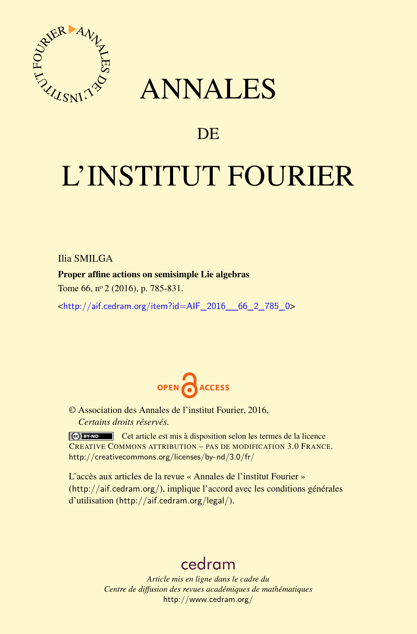

## ANNALES

### **DE**

# L'INSTITUT FOURIER

Ilia SMILGA

#### Proper affine actions on semisimple Lie algebras

Tome 66, nº 2 (2016), p. 785-831.

 $\kappa$ http://aif.cedram.org/item?id=AIF\_2016\_66\_2\_785\_0>



© Association des Annales de l'institut Fourier, 2016, *Certains droits réservés.*

Cet article est mis à disposition selon les termes de la licence CREATIVE COMMONS ATTRIBUTION – PAS DE MODIFICATION 3.0 FRANCE. <http://creativecommons.org/licenses/by-nd/3.0/fr/>

L'accès aux articles de la revue « Annales de l'institut Fourier » (<http://aif.cedram.org/>), implique l'accord avec les conditions générales d'utilisation (<http://aif.cedram.org/legal/>).

## [cedram](http://www.cedram.org/)

*Article mis en ligne dans le cadre du Centre de diffusion des revues académiques de mathématiques* <http://www.cedram.org/>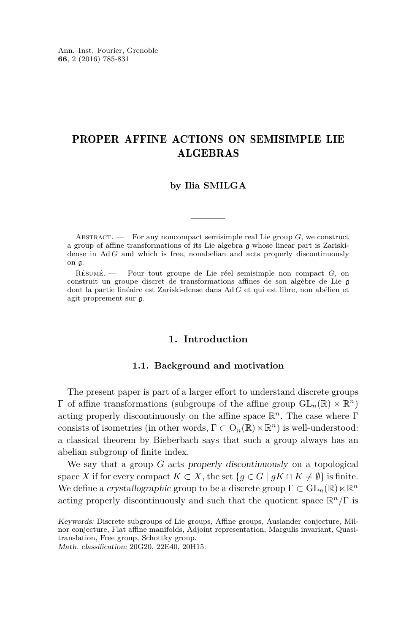Ann. Inst. Fourier, Grenoble **66**, 2 (2016) 785-831

#### PROPER AFFINE ACTIONS ON SEMISIMPLE LIE ALGEBRAS

#### **by Ilia SMILGA**

ABSTRACT. — For any noncompact semisimple real Lie group  $G$ , we construct a group of affine transformations of its Lie algebra g whose linear part is Zariskidense in Ad *G* and which is free, nonabelian and acts properly discontinuously on g.

Résumé. — Pour tout groupe de Lie réel semisimple non compact *G*, on construit un groupe discret de transformations affines de son algèbre de Lie g dont la partie linéaire est Zariski-dense dans Ad *G* et qui est libre, non abélien et agit proprement sur g.

#### **1. Introduction**

#### **1.1. Background and motivation**

The present paper is part of a larger effort to understand discrete groups Γ of affine transformations (subgroups of the affine group  $GL_n(\mathbb{R}) \ltimes \mathbb{R}^n$ ) acting properly discontinuously on the affine space R *<sup>n</sup>*. The case where Γ consists of isometries (in other words,  $\Gamma \subset O_n(\mathbb{R}) \ltimes \mathbb{R}^n$ ) is well-understood: a classical theorem by Bieberbach says that such a group always has an abelian subgroup of finite index.

We say that a group *G* acts properly discontinuously on a topological space *X* if for every compact  $K \subset X$ , the set  $\{g \in G \mid gK \cap K \neq \emptyset\}$  is finite. We define a crystallographic group to be a discrete group  $\Gamma \subset GL_n(\mathbb{R}) \ltimes \mathbb{R}^n$ acting properly discontinuously and such that the quotient space R *<sup>n</sup>/*Γ is

Math. classification: 20G20, 22E40, 20H15.

Keywords: Discrete subgroups of Lie groups, Affine groups, Auslander conjecture, Milnor conjecture, Flat affine manifolds, Adjoint representation, Margulis invariant, Quasitranslation, Free group, Schottky group.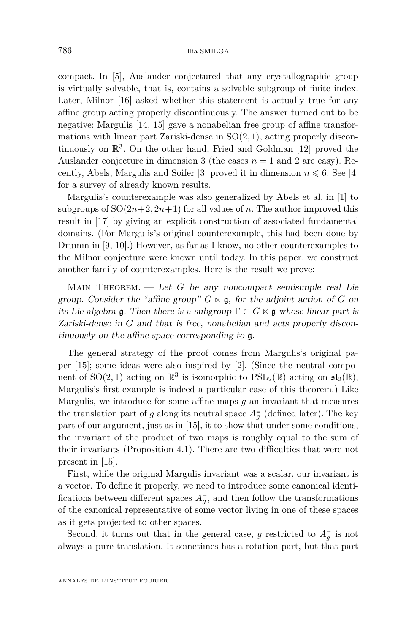compact. In [\[5\]](#page-47-0), Auslander conjectured that any crystallographic group is virtually solvable, that is, contains a solvable subgroup of finite index. Later, Milnor [\[16\]](#page-47-1) asked whether this statement is actually true for any affine group acting properly discontinuously. The answer turned out to be negative: Margulis [\[14,](#page-47-2) [15\]](#page-47-3) gave a nonabelian free group of affine transformations with linear part Zariski-dense in SO(2*,* 1), acting properly discontinuously on  $\mathbb{R}^3$ . On the other hand, Fried and Goldman [\[12\]](#page-47-4) proved the Auslander conjecture in dimension 3 (the cases  $n = 1$  and 2 are easy). Re-cently, Abels, Margulis and Soifer [\[3\]](#page-47-5) proved it in dimension  $n \leq 6$ . See [\[4\]](#page-47-6) for a survey of already known results.

Margulis's counterexample was also generalized by Abels et al. in [\[1\]](#page-47-7) to subgroups of  $SO(2n+2, 2n+1)$  for all values of *n*. The author improved this result in [\[17\]](#page-47-8) by giving an explicit construction of associated fundamental domains. (For Margulis's original counterexample, this had been done by Drumm in  $[9, 10]$  $[9, 10]$  $[9, 10]$ .) However, as far as I know, no other counterexamples to the Milnor conjecture were known until today. In this paper, we construct another family of counterexamples. Here is the result we prove:

MAIN THEOREM.  $\qquad$  Let *G* be any noncompact semisimple real Lie group. Consider the "affine group"  $G \ltimes \mathfrak{g}$ , for the adjoint action of G on its Lie algebra g. Then there is a subgroup  $\Gamma \subset G \ltimes g$  whose linear part is Zariski-dense in *G* and that is free, nonabelian and acts properly discontinuously on the affine space corresponding to g.

The general strategy of the proof comes from Margulis's original paper [\[15\]](#page-47-3); some ideas were also inspired by [\[2\]](#page-47-11). (Since the neutral component of  $SO(2, 1)$  acting on  $\mathbb{R}^3$  is isomorphic to  $PSL_2(\mathbb{R})$  acting on  $\mathfrak{sl}_2(\mathbb{R})$ , Margulis's first example is indeed a particular case of this theorem.) Like Margulis, we introduce for some affine maps *g* an invariant that measures the translation part of *g* along its neutral space  $A_g^=$  (defined later). The key part of our argument, just as in [\[15\]](#page-47-3), it to show that under some conditions, the invariant of the product of two maps is roughly equal to the sum of their invariants (Proposition [4.1\)](#page-30-0). There are two difficulties that were not present in [\[15\]](#page-47-3).

First, while the original Margulis invariant was a scalar, our invariant is a vector. To define it properly, we need to introduce some canonical identifications between different spaces  $A_g^=$ , and then follow the transformations of the canonical representative of some vector living in one of these spaces as it gets projected to other spaces.

Second, it turns out that in the general case,  $g$  restricted to  $A_g^-$  is not always a pure translation. It sometimes has a rotation part, but that part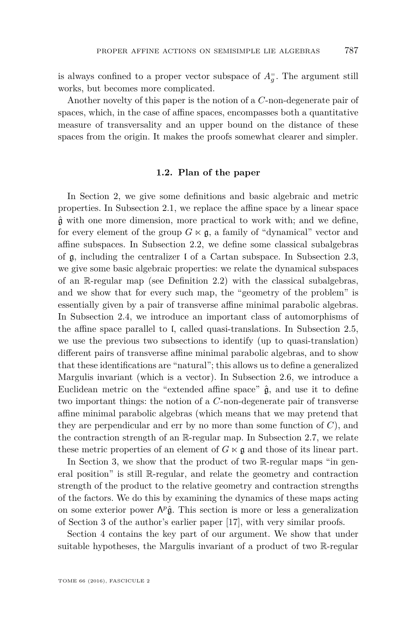is always confined to a proper vector subspace of  $A_{\overline{g}}$ . The argument still works, but becomes more complicated.

Another novelty of this paper is the notion of a *C*-non-degenerate pair of spaces, which, in the case of affine spaces, encompasses both a quantitative measure of transversality and an upper bound on the distance of these spaces from the origin. It makes the proofs somewhat clearer and simpler.

#### **1.2. Plan of the paper**

In Section [2,](#page-4-0) we give some definitions and basic algebraic and metric properties. In Subsection [2.1,](#page-4-1) we replace the affine space by a linear space  $\hat{\mathfrak{g}}$  with one more dimension, more practical to work with; and we define, for every element of the group  $G \ltimes \mathfrak{g}$ , a family of "dynamical" vector and affine subspaces. In Subsection [2.2,](#page-5-0) we define some classical subalgebras of  $\mathfrak g$ , including the centralizer l of a Cartan subspace. In Subsection [2.3,](#page-8-0) we give some basic algebraic properties: we relate the dynamical subspaces of an R-regular map (see Definition [2.2\)](#page-5-1) with the classical subalgebras, and we show that for every such map, the "geometry of the problem" is essentially given by a pair of transverse affine minimal parabolic algebras. In Subsection [2.4,](#page-10-0) we introduce an important class of automorphisms of the affine space parallel to l, called quasi-translations. In Subsection [2.5,](#page-12-0) we use the previous two subsections to identify (up to quasi-translation) different pairs of transverse affine minimal parabolic algebras, and to show that these identifications are "natural"; this allows us to define a generalized Margulis invariant (which is a vector). In Subsection [2.6,](#page-15-0) we introduce a Euclidean metric on the "extended affine space"  $\hat{\mathfrak{g}}$ , and use it to define two important things: the notion of a *C*-non-degenerate pair of transverse affine minimal parabolic algebras (which means that we may pretend that they are perpendicular and err by no more than some function of *C*), and the contraction strength of an R-regular map. In Subsection [2.7,](#page-18-0) we relate these metric properties of an element of  $G \ltimes \mathfrak{g}$  and those of its linear part.

In Section [3,](#page-21-0) we show that the product of two R-regular maps "in general position" is still R-regular, and relate the geometry and contraction strength of the product to the relative geometry and contraction strengths of the factors. We do this by examining the dynamics of these maps acting on some exterior power  $\Lambda^p\hat{\mathfrak{g}}$ . This section is more or less a generalization of Section 3 of the author's earlier paper [\[17\]](#page-47-8), with very similar proofs.

Section [4](#page-30-1) contains the key part of our argument. We show that under suitable hypotheses, the Margulis invariant of a product of two R-regular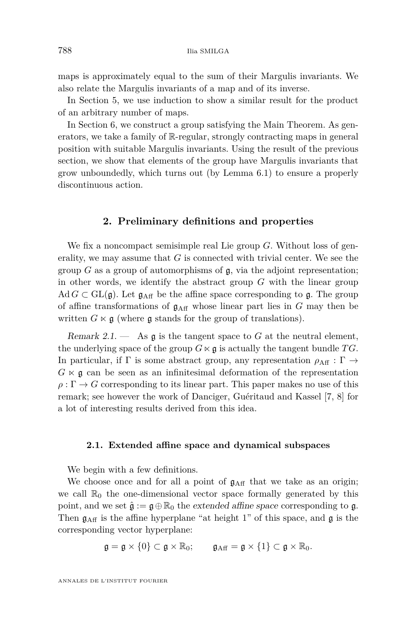maps is approximately equal to the sum of their Margulis invariants. We also relate the Margulis invariants of a map and of its inverse.

In Section [5,](#page-40-0) we use induction to show a similar result for the product of an arbitrary number of maps.

In Section [6,](#page-43-0) we construct a group satisfying the Main Theorem. As generators, we take a family of R-regular, strongly contracting maps in general position with suitable Margulis invariants. Using the result of the previous section, we show that elements of the group have Margulis invariants that grow unboundedly, which turns out (by Lemma [6.1\)](#page-44-0) to ensure a properly discontinuous action.

#### **2. Preliminary definitions and properties**

<span id="page-4-0"></span>We fix a noncompact semisimple real Lie group *G*. Without loss of generality, we may assume that *G* is connected with trivial center. We see the group  $G$  as a group of automorphisms of  $\mathfrak{g}$ , via the adjoint representation; in other words, we identify the abstract group *G* with the linear group Ad  $G \subset GL(\mathfrak{g})$ . Let  $\mathfrak{g}_{\text{Aff}}$  be the affine space corresponding to  $\mathfrak{g}$ . The group of affine transformations of  $g_{\text{Aff}}$  whose linear part lies in  $G$  may then be written  $G \ltimes \mathfrak{g}$  (where  $\mathfrak{g}$  stands for the group of translations).

Remark 2.1.  $\qquad$  As  $\mathfrak g$  is the tangent space to *G* at the neutral element, the underlying space of the group  $G \ltimes \mathfrak{g}$  is actually the tangent bundle TG. In particular, if  $\Gamma$  is some abstract group, any representation  $\rho_{\text{Aff}} : \Gamma \rightarrow$  $G \ltimes \mathfrak{g}$  can be seen as an infinitesimal deformation of the representation  $\rho : \Gamma \to G$  corresponding to its linear part. This paper makes no use of this remark; see however the work of Danciger, Guéritaud and Kassel [\[7,](#page-47-12) [8\]](#page-47-13) for a lot of interesting results derived from this idea.

#### <span id="page-4-1"></span>**2.1. Extended affine space and dynamical subspaces**

We begin with a few definitions.

We choose once and for all a point of  $g_{\text{Aff}}$  that we take as an origin; we call  $\mathbb{R}_0$  the one-dimensional vector space formally generated by this point, and we set  $\hat{\mathfrak{g}} := \mathfrak{g} \oplus \mathbb{R}_0$  the extended affine space corresponding to  $\mathfrak{g}$ . Then  $g_{\text{Aff}}$  is the affine hyperplane "at height 1" of this space, and  $g$  is the corresponding vector hyperplane:

$$
\mathfrak{g}=\mathfrak{g}\times\{0\}\subset\mathfrak{g}\times\mathbb{R}_0;\qquad\mathfrak{g}_{\rm Aff}=\mathfrak{g}\times\{1\}\subset\mathfrak{g}\times\mathbb{R}_0.
$$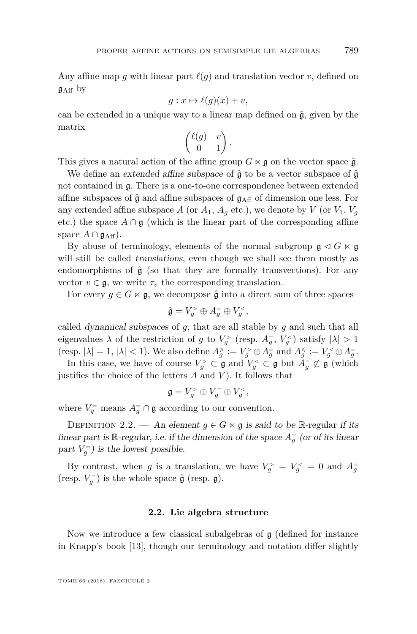Any affine map g with linear part  $\ell(g)$  and translation vector v, defined on  $g_{\text{Aff}}$  by

$$
g: x \mapsto \ell(g)(x) + v,
$$

can be extended in a unique way to a linear map defined on  $\hat{\mathfrak{g}}$ , given by the matrix

$$
\begin{pmatrix} \ell(g) & v \\ 0 & 1 \end{pmatrix}.
$$

This gives a natural action of the affine group  $G \ltimes \mathfrak{g}$  on the vector space  $\hat{\mathfrak{g}}$ .

We define an extended affine subspace of  $\hat{\mathfrak{g}}$  to be a vector subspace of  $\hat{\mathfrak{g}}$ not contained in  $\mathfrak{g}$ . There is a one-to-one correspondence between extended affine subspaces of  $\hat{g}$  and affine subspaces of  $g_{\text{Aff}}$  of dimension one less. For any extended affine subspace A (or  $A_1$ ,  $A_q$  etc.), we denote by  $V$  (or  $V_1$ ,  $V_q$ etc.) the space  $A \cap \mathfrak{g}$  (which is the linear part of the corresponding affine space  $A \cap \mathfrak{g}_{\text{Aff}}$ ).

By abuse of terminology, elements of the normal subgroup  $\mathfrak{g} \triangleleft G \ltimes \mathfrak{g}$ will still be called *translations*, even though we shall see them mostly as endomorphisms of  $\hat{\mathfrak{g}}$  (so that they are formally transvections). For any vector  $v \in \mathfrak{g}$ , we write  $\tau_v$  the corresponding translation.

For every  $g \in G \times \mathfrak{g}$ , we decompose  $\hat{\mathfrak{g}}$  into a direct sum of three spaces

$$
\hat{\mathfrak{g}} = V_g^> \oplus A_g^= \oplus V_g^<,
$$

called dynamical subspaces of *g*, that are all stable by *g* and such that all eigenvalues  $\lambda$  of the restriction of *g* to  $V_g^>$  (resp.  $A_g^=$ ,  $V_g^<$ ) satisfy  $|\lambda| > 1$  $(\text{resp. } |\lambda| = 1, |\lambda| < 1)$ . We also define  $A_g^{\geq} := V_g^{\geq} \oplus A_g^=$  and  $A_g^{\leq} := V_g^{\leq} \oplus A_g^=$ .

In this case, we have of course  $V_g^> \subset \mathfrak{g}$  and  $V_g^< \subset \mathfrak{g}$  but  $A_g^= \not\subset \mathfrak{g}$  (which justifies the choice of the letters *A* and *V* ). It follows that

$$
\mathfrak{g} = V_g^> \oplus V_g^= \oplus V_g^<,
$$

where  $V_g^=$  means  $A_g^= \cap \mathfrak{g}$  according to our convention.

<span id="page-5-1"></span>DEFINITION 2.2. — An element  $g \in G \ltimes \mathfrak{g}$  is said to be R-regular if its linear part is  $\mathbb{R}$ -regular, i.e. if the dimension of the space  $A_g^=$  (or of its linear part  $V_g^=$ ) is the lowest possible.

By contrast, when *g* is a translation, we have  $V_g^> = V_g^< = 0$  and  $A_g^-$ (resp.  $V_g^=$ ) is the whole space  $\hat{\mathfrak{g}}$  (resp.  $\mathfrak{g}$ ).

#### **2.2. Lie algebra structure**

<span id="page-5-0"></span>Now we introduce a few classical subalgebras of  $\mathfrak g$  (defined for instance in Knapp's book [\[13\]](#page-47-14), though our terminology and notation differ slightly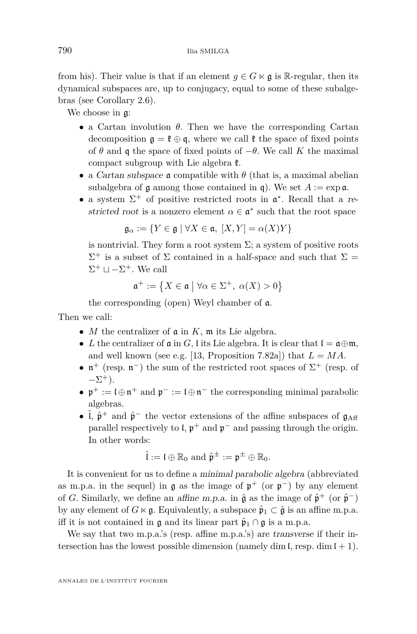from his). Their value is that if an element  $q \in G \ltimes \mathfrak{g}$  is R-regular, then its dynamical subspaces are, up to conjugacy, equal to some of these subalgebras (see Corollary [2.6\)](#page-9-0).

We choose in g:

- a Cartan involution *θ*. Then we have the corresponding Cartan decomposition  $\mathfrak{g} = \mathfrak{k} \oplus \mathfrak{q}$ , where we call  $\mathfrak{k}$  the space of fixed points of  $\theta$  and  $\phi$  the space of fixed points of  $-\theta$ . We call K the maximal compact subgroup with Lie algebra  $\mathfrak{k}$ .
- a *Cartan subspace*  $\boldsymbol{\alpha}$  compatible with  $\theta$  (that is, a maximal abelian subalgebra of  $\mathfrak a$  among those contained in  $\mathfrak a$ ). We set  $A := \exp \mathfrak a$ .
- a system  $\Sigma^+$  of positive restricted roots in  $\mathfrak{a}^*$ . Recall that a restricted root is a nonzero element  $\alpha \in \mathfrak{a}^*$  such that the root space

$$
\mathfrak{g}_{\alpha} := \{ Y \in \mathfrak{g} \mid \forall X \in \mathfrak{a}, \ [X, Y] = \alpha(X)Y \}
$$

is nontrivial. They form a root system  $\Sigma$ ; a system of positive roots  $\Sigma^+$  is a subset of  $\Sigma$  contained in a half-space and such that  $\Sigma =$  $\Sigma^+ \sqcup -\Sigma^+$ . We call

$$
\mathfrak{a}^+:=\left\{X\in\mathfrak{a}\ \big|\ \forall\alpha\in\Sigma^+,\ \alpha(X)>0\right\}
$$

the corresponding (open) Weyl chamber of a.

Then we call:

- *M* the centralizer of  $\mathfrak a$  in  $K$ ,  $\mathfrak m$  its Lie algebra.
- *L* the centralizer of  $\mathfrak a$  in *G*, l its Lie algebra. It is clear that  $\mathfrak l = \mathfrak a \oplus \mathfrak m$ , and well known (see e.g. [\[13,](#page-47-14) Proposition 7.82a]) that  $L = MA$ .
- $\mathfrak{n}^+$  (resp.  $\mathfrak{n}^-$ ) the sum of the restricted root spaces of  $\Sigma^+$  (resp. of  $-\Sigma^+$ ).
- $\mathfrak{p}^+ := \mathfrak{l} \oplus \mathfrak{n}^+$  and  $\mathfrak{p}^- := \mathfrak{l} \oplus \mathfrak{n}^-$  the corresponding minimal parabolic algebras.
- $\hat{\mathfrak{h}}$  ,  $\hat{\mathfrak{p}}^+$  and  $\hat{\mathfrak{p}}^-$  the vector extensions of the affine subspaces of  $\mathfrak{g}_{\rm Aff}$ parallel respectively to  $\mathfrak{l}$ ,  $\mathfrak{p}^+$  and  $\mathfrak{p}^-$  and passing through the origin. In other words:

$$
\hat{\mathfrak{l}} := \mathfrak{l} \oplus \mathbb{R}_0
$$
 and  $\hat{\mathfrak{p}}^{\pm} := \mathfrak{p}^{\pm} \oplus \mathbb{R}_0$ .

It is convenient for us to define a minimal parabolic algebra (abbreviated as m.p.a. in the sequel) in  $\mathfrak g$  as the image of  $\mathfrak p^+$  (or  $\mathfrak p^-$ ) by any element of *G*. Similarly, we define an affine m.p.a. in  $\hat{\mathfrak{g}}$  as the image of  $\hat{\mathfrak{p}}^+$  (or  $\hat{\mathfrak{p}}^-$ ) by any element of  $G \ltimes \mathfrak{g}$ . Equivalently, a subspace  $\hat{\mathfrak{p}}_1 \subset \hat{\mathfrak{g}}$  is an affine m.p.a. iff it is not contained in  $\mathfrak g$  and its linear part  $\hat{\mathfrak p}_1 \cap \mathfrak g$  is a m.p.a.

We say that two m.p.a.'s (resp. affine m.p.a.'s) are transverse if their intersection has the lowest possible dimension (namely dim  $\mathfrak{l}$ , resp. dim  $\mathfrak{l} + 1$ ).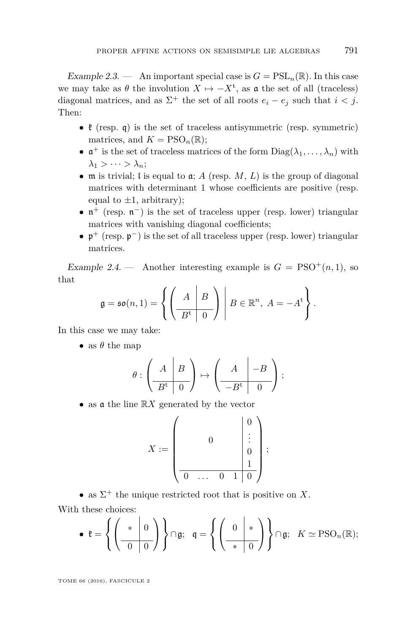Example 2.3. — An important special case is  $G = \text{PSL}_n(\mathbb{R})$ . In this case we may take as  $\theta$  the involution  $X \mapsto -X^t$ , as  $\mathfrak a$  the set of all (traceless) diagonal matrices, and as  $\Sigma^+$  the set of all roots  $e_i - e_j$  such that  $i < j$ . Then:

- $\ell$  (resp. q) is the set of traceless antisymmetric (resp. symmetric) matrices, and  $K = PSO_n(\mathbb{R})$ ;
- $\mathfrak{a}^+$  is the set of traceless matrices of the form  $Diag(\lambda_1, \ldots, \lambda_n)$  with  $\lambda_1 > \cdots > \lambda_n$ ;
- $\bullet$  **m** is trivial; *l* is equal to  $\mathfrak{a}$ ; *A* (resp. *M*, *L*) is the group of diagonal matrices with determinant 1 whose coefficients are positive (resp. equal to  $\pm 1$ , arbitrary);
- $\mathfrak{n}^+$  (resp.  $\mathfrak{n}^-$ ) is the set of traceless upper (resp. lower) triangular matrices with vanishing diagonal coefficients;
- $\mathfrak{p}^+$  (resp.  $\mathfrak{p}^-$ ) is the set of all traceless upper (resp. lower) triangular matrices.

Example 2.4. — Another interesting example is  $G = PSO^+(n, 1)$ , so that

$$
\mathfrak{g} = \mathfrak{so}(n,1) = \left\{ \left( \begin{array}{c|c} A & B \\ \hline B^\mathrm{t} & 0 \end{array} \right) \middle| B \in \mathbb{R}^n, A = -A^\mathrm{t} \right\}.
$$

In this case we may take:

• as  $\theta$  the map

$$
\theta : \left(\begin{array}{c|c} A & B \\ \hline B^t & 0 \end{array}\right) \mapsto \left(\begin{array}{c|c} A & -B \\ \hline -B^t & 0 \end{array}\right);
$$

• as <sup>a</sup> the line <sup>R</sup>*<sup>X</sup>* generated by the vector

$$
X := \begin{pmatrix} & & & 0 \\ & & 0 & & \vdots \\ & & & 0 & \\ & & & & 1 \\ \hline 0 & \dots & 0 & 1 & 0 \end{pmatrix};
$$

• as  $\Sigma^+$  the unique restricted root that is positive on *X*. With these choices:

• 
$$
\mathfrak{k} = \left\{ \left( \begin{array}{c|c} * & 0 \\ \hline 0 & 0 \end{array} \right) \right\} \cap \mathfrak{g}; \quad \mathfrak{q} = \left\{ \left( \begin{array}{c|c} 0 & * \\ \hline * & 0 \end{array} \right) \right\} \cap \mathfrak{g}; \quad K \simeq \text{PSO}_n(\mathbb{R});
$$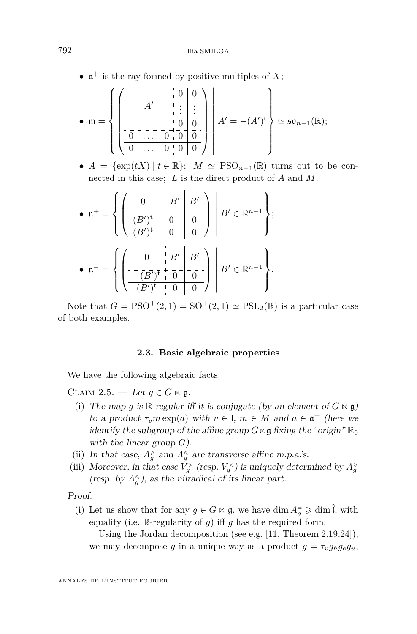•  $\mathfrak{a}^+$  is the ray formed by positive multiples of *X*;

$$
\bullet \ \mathfrak{m} = \left\{ \left( \begin{array}{c|c} & | & 0 & 0 \\ A' & | & | & | \\ \hline 0 & | & | & 0 \\ \hline 0 & | & | & 0 \\ \hline 0 & | & | & 0 \end{array} \right) \middle| A' = -(A')^{\mathsf{t}} \right\} \simeq \mathfrak{so}_{n-1}(\mathbb{R});
$$

•  $A = {\exp(tX) | t \in \mathbb{R}}$ ;  $M \simeq {\rm PSO}_{n-1}(\mathbb{R})$  turns out to be connected in this case; *L* is the direct product of *A* and *M*.

• 
$$
\mathfrak{n}^+=\left\{\left(\begin{array}{cc|c}0 & -B' & B' \\ \hline (B')^{\frac{1}{\mathfrak{t}}} & 0 & 0 \\ \hline (B')^{\frac{1}{\mathfrak{t}}} & 0 & 0 \end{array}\right) \middle| B'\in\mathbb{R}^{n-1}\right\};
$$
  
•  $\mathfrak{n}^-=\left\{\left(\begin{array}{cc|c}0 & B' & B' \\ \hline -(B')^{\frac{1}{\mathfrak{t}}} & 0 & 0 \end{array}\right) \middle| B'\in\mathbb{R}^{n-1}\right\}.$ 

Note that  $G = PSO^{+}(2, 1) = SO^{+}(2, 1) \simeq PSL_2(\mathbb{R})$  is a particular case of both examples.

#### **2.3. Basic algebraic properties**

<span id="page-8-0"></span>We have the following algebraic facts.

<span id="page-8-1"></span>CLAIM 2.5. — Let  $g \in G \ltimes \mathfrak{g}$ .

- (i) The map *g* is R-regular iff it is conjugate (by an element of  $G \ltimes \mathfrak{g}$ ) to a product  $\tau_v m \exp(a)$  with  $v \in I$ ,  $m \in M$  and  $a \in \mathfrak{a}^+$  (here we identify the subgroup of the affine group  $G \times \mathfrak{g}$  fixing the "origin"  $\mathbb{R}_0$ with the linear group *G*).
- (ii) In that case,  $A_g^{\geq}$  and  $A_g^{\leq}$  are transverse affine m.p.a.'s.
- (iii) Moreover, in that case  $V_g^>$  (resp.  $V_g^<$ ) is uniquely determined by  $A_g^>$ (resp. by  $A_g^{\leq}$ ), as the nilradical of its linear part.

Proof.

(i) Let us show that for any  $g \in G \ltimes \mathfrak{g}$ , we have dim  $A_g^= \geqslant \dim \hat{\mathfrak{l}}$ , with equality (i.e. R-regularity of *g*) iff *g* has the required form.

Using the Jordan decomposition (see e.g. [\[11,](#page-47-15) Theorem 2.19.24]), we may decompose *g* in a unique way as a product  $g = \tau_v g_h g_e g_u$ ,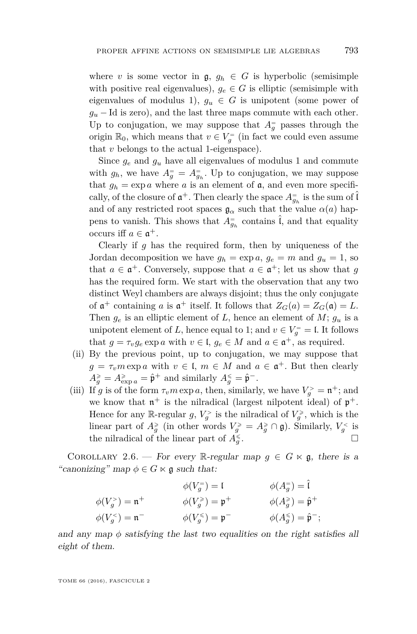where *v* is some vector in  $\mathfrak{g}, g_h \in G$  is hyperbolic (semisimple with positive real eigenvalues),  $g_e \in G$  is elliptic (semisimple with eigenvalues of modulus 1),  $g_u \in G$  is unipotent (some power of  $g<sub>u</sub>$  − Id is zero), and the last three maps commute with each other. Up to conjugation, we may suppose that  $A_g^=$  passes through the origin  $\mathbb{R}_0$ , which means that  $v \in V_g^-$  (in fact we could even assume that *v* belongs to the actual 1-eigenspace).

Since  $g_e$  and  $g_u$  have all eigenvalues of modulus 1 and commute with  $g_h$ , we have  $A_g^{\dagger} = A_{g_h}^{\dagger}$ . Up to conjugation, we may suppose that  $g_h = \exp a$  where a is an element of  $\mathfrak{a}$ , and even more specifically, of the closure of  $\mathfrak{a}^+$ . Then clearly the space  $A_{g_h}^-$  is the sum of  $\hat{\mathfrak{l}}$ and of any restricted root spaces  $\mathfrak{g}_{\alpha}$  such that the value  $\alpha(a)$  happens to vanish. This shows that  $A_{g_h}^=$  contains  $\hat{\mathfrak{l}}$ , and that equality occurs iff  $a \in \mathfrak{a}^+$ .

Clearly if *g* has the required form, then by uniqueness of the Jordan decomposition we have  $g_h = \exp a$ ,  $g_e = m$  and  $g_u = 1$ , so that  $a \in \mathfrak{a}^+$ . Conversely, suppose that  $a \in \mathfrak{a}^+$ ; let us show that  $g$ has the required form. We start with the observation that any two distinct Weyl chambers are always disjoint; thus the only conjugate of  $\mathfrak{a}^+$  containing *a* is  $\mathfrak{a}^+$  itself. It follows that  $Z_G(a) = Z_G(\mathfrak{a}) = L$ . Then  $g_e$  is an elliptic element of *L*, hence an element of *M*;  $g_u$  is a unipotent element of *L*, hence equal to 1; and  $v \in V_g^= = \mathfrak{l}$ . It follows that  $g = \tau_v g_e \exp a$  with  $v \in I$ ,  $g_e \in M$  and  $a \in \mathfrak{a}^+$ , as required.

- (ii) By the previous point, up to conjugation, we may suppose that  $g = \tau_v m \exp a$  with  $v \in I$ ,  $m \in M$  and  $a \in \mathfrak{a}^+$ . But then clearly  $A_g^{\geqslant} = A_{\exp a}^{\geqslant} = \hat{\mathfrak{p}}^+$  and similarly  $A_g^{\leqslant} = \hat{\mathfrak{p}}^-$ .
- (iii) If *g* is of the form  $\tau_v m \exp a$ , then, similarly, we have  $V_g^> = \mathfrak{n}^+$ ; and we know that  $\mathfrak{n}^+$  is the nilradical (largest nilpotent ideal) of  $\mathfrak{p}^+$ . Hence for any  $\mathbb{R}$ -regular  $g, V_g^>$  is the nilradical of  $V_g^>$ , which is the linear part of  $A_g^{\geq}$  (in other words  $V_g^{\geq} = A_g^{\geq} \cap \mathfrak{g}$ ). Similarly,  $V_g^{\lt}$  is the nilradical of the linear part of  $A_g^{\leq}$ .

<span id="page-9-0"></span>COROLLARY 2.6. — For every R-regular map  $g \in G \ltimes \mathfrak{g}$ , there is a "canonizing" map  $\phi \in G \ltimes \mathfrak{g}$  such that:

$$
\begin{aligned}\n\phi(V_g^-) &= \mathfrak{l} & \phi(A_g^-) &= \hat{\mathfrak{l}} \\
\phi(V_g^>) &= \mathfrak{n}^+ & \phi(V_g^*) &= \mathfrak{p}^+ & \phi(A_g^*) &= \hat{\mathfrak{p}}^+ \\
\phi(V_g^-) &= \mathfrak{n}^- & \phi(V_g^*) &= \mathfrak{p}^- & \phi(A_g^*) &= \hat{\mathfrak{p}}^- ;\n\end{aligned}
$$

and any map  $\phi$  satisfying the last two equalities on the right satisfies all eight of them.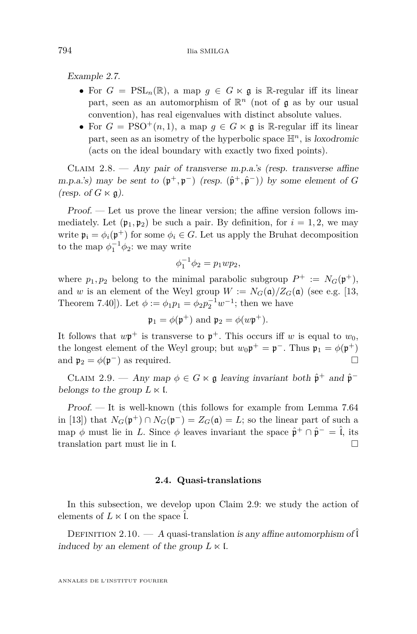Example 2.7.

- For  $G = \text{PSL}_n(\mathbb{R})$ , a map  $q \in G \ltimes \mathfrak{g}$  is R-regular iff its linear part, seen as an automorphism of R *<sup>n</sup>* (not of g as by our usual convention), has real eigenvalues with distinct absolute values.
- For  $G = PSO^+(n, 1)$ , a map  $q \in G \ltimes \mathfrak{g}$  is R-regular iff its linear part, seen as an isometry of the hyperbolic space  $\mathbb{H}^n$ , is loxodromic (acts on the ideal boundary with exactly two fixed points).

<span id="page-10-2"></span>CLAIM  $2.8.$  — Any pair of transverse m.p.a.'s (resp. transverse affine m.p.a.'s) may be sent to  $(\mathfrak{p}^+, \mathfrak{p}^-)$  (resp.  $(\hat{\mathfrak{p}}^+, \hat{\mathfrak{p}}^-)$ ) by some element of *G* (resp. of  $G \ltimes \mathfrak{g}$ ).

Proof. — Let us prove the linear version; the affine version follows immediately. Let  $(\mathfrak{p}_1, \mathfrak{p}_2)$  be such a pair. By definition, for  $i = 1, 2$ , we may write  $\mathfrak{p}_i = \phi_i(\mathfrak{p}^+)$  for some  $\phi_i \in G$ . Let us apply the Bruhat decomposition to the map  $\phi_1^{-1}\phi_2$ : we may write

$$
\phi_1^{-1} \phi_2 = p_1 w p_2,
$$

where  $p_1, p_2$  belong to the minimal parabolic subgroup  $P^+ := N_G(\mathfrak{p}^+),$ and *w* is an element of the Weyl group  $W := N_G(\mathfrak{a})/Z_G(\mathfrak{a})$  (see e.g. [\[13,](#page-47-14) Theorem 7.40]). Let  $\phi := \phi_1 p_1 = \phi_2 p_2^{-1} w^{-1}$ ; then we have

$$
\mathfrak{p}_1 = \phi(\mathfrak{p}^+)
$$
 and  $\mathfrak{p}_2 = \phi(w\mathfrak{p}^+)$ .

It follows that  $w\mathfrak{p}^+$  is transverse to  $\mathfrak{p}^+$ . This occurs iff *w* is equal to  $w_0$ , the longest element of the Weyl group; but  $w_0 \mathfrak{p}^+ = \mathfrak{p}^-$ . Thus  $\mathfrak{p}_1 = \phi(\mathfrak{p}^+)$ and  $\mathfrak{p}_2 = \phi(\mathfrak{p}^-)$  as required.

<span id="page-10-1"></span>CLAIM 2.9. — Any map  $\phi \in G \ltimes \mathfrak{g}$  leaving invariant both  $\hat{\mathfrak{p}}^+$  and  $\hat{\mathfrak{p}}^$ belongs to the group  $L \ltimes I$ .

Proof. — It is well-known (this follows for example from Lemma 7.64 in [\[13\]](#page-47-14)) that  $N_G(\mathfrak{p}^+) \cap N_G(\mathfrak{p}^-) = Z_G(\mathfrak{a}) = L$ ; so the linear part of such a map  $\phi$  must lie in *L*. Since  $\phi$  leaves invariant the space  $\hat{\mathfrak{p}}^+ \cap \hat{\mathfrak{p}}^- = \hat{\mathfrak{l}}$ , its translation part must lie in f translation part must lie in l.

#### **2.4. Quasi-translations**

<span id="page-10-0"></span>In this subsection, we develop upon Claim [2.9:](#page-10-1) we study the action of elements of  $L \ltimes I$  on the space  $\tilde{l}$ .

DEFINITION 2.10. — A quasi-translation is any affine automorphism of  $\hat{\mathfrak{l}}$ induced by an element of the group  $L \ltimes \mathfrak{l}$ .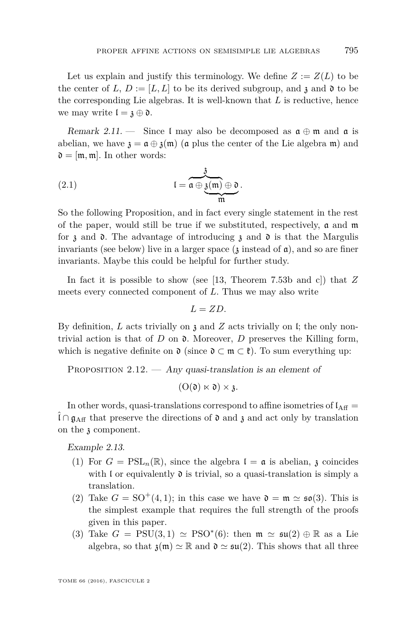Let us explain and justify this terminology. We define  $Z := Z(L)$  to be the center of *L*,  $D := [L, L]$  to be its derived subgroup, and  $\mathfrak{z}$  and  $\mathfrak{d}$  to be the corresponding Lie algebras. It is well-known that *L* is reductive, hence we may write  $\mathfrak{l} = \mathfrak{z} \oplus \mathfrak{d}$ .

Remark 2.11. — Since I may also be decomposed as  $\mathfrak{a} \oplus \mathfrak{m}$  and  $\mathfrak{a}$  is abelian, we have  $\mathfrak{z} = \mathfrak{a} \oplus \mathfrak{z}(\mathfrak{m})$  ( $\mathfrak{a}$  plus the center of the Lie algebra  $\mathfrak{m}$ ) and  $\mathfrak{d} = [\mathfrak{m}, \mathfrak{m}]$ . In other words:

<span id="page-11-0"></span>(2.1) 
$$
I = \overbrace{\mathfrak{a} \oplus \underbrace{\mathfrak{z}(\mathfrak{m}) \oplus \mathfrak{d}}_{\mathfrak{m}}}^{3}.
$$

So the following Proposition, and in fact every single statement in the rest of the paper, would still be true if we substituted, respectively,  $a$  and  $m$ for  $\lambda$  and  $\lambda$ . The advantage of introducing  $\lambda$  and  $\lambda$  is that the Margulis invariants (see below) live in a larger space  $(3 \text{ instead of } \mathfrak{a})$ , and so are finer invariants. Maybe this could be helpful for further study.

In fact it is possible to show (see [\[13,](#page-47-14) Theorem 7.53b and c]) that *Z* meets every connected component of *L*. Thus we may also write

$$
L=ZD.
$$

By definition, *L* acts trivially on z and *Z* acts trivially on l; the only nontrivial action is that of  $D$  on  $\mathfrak d$ . Moreover,  $D$  preserves the Killing form, which is negative definite on  $\mathfrak{d}$  (since  $\mathfrak{d} \subset \mathfrak{m} \subset \mathfrak{k}$ ). To sum everything up:

<span id="page-11-1"></span>PROPOSITION  $2.12.$  — Any quasi-translation is an element of

 $(O(\mathfrak{d}) \ltimes \mathfrak{d}) \times \mathfrak{z}.$ 

In other words, quasi-translations correspond to affine isometries of  $I_{\text{Aff}} =$  $\hat{\mathfrak{l}} \cap \mathfrak{g}_{\text{Aff}}$  that preserve the directions of  $\mathfrak{d}$  and  $\mathfrak{z}$  and act only by translation on the z component.

Example 2.13.

- (1) For  $G = \text{PSL}_n(\mathbb{R})$ , since the algebra  $\mathfrak{l} = \mathfrak{a}$  is abelian,  $\mathfrak{z}$  coincides with  $\mathfrak l$  or equivalently  $\mathfrak d$  is trivial, so a quasi-translation is simply a translation.
- (2) Take  $G = SO^+(4,1)$ ; in this case we have  $\mathfrak{d} = \mathfrak{m} \simeq \mathfrak{so}(3)$ . This is the simplest example that requires the full strength of the proofs given in this paper.
- (3) Take  $G = \text{PSU}(3,1) \simeq \text{PSO}^*(6)$ : then  $\mathfrak{m} \simeq \mathfrak{su}(2) \oplus \mathbb{R}$  as a Lie algebra, so that  $\mathfrak{z}(\mathfrak{m}) \simeq \mathbb{R}$  and  $\mathfrak{d} \simeq \mathfrak{su}(2)$ . This shows that all three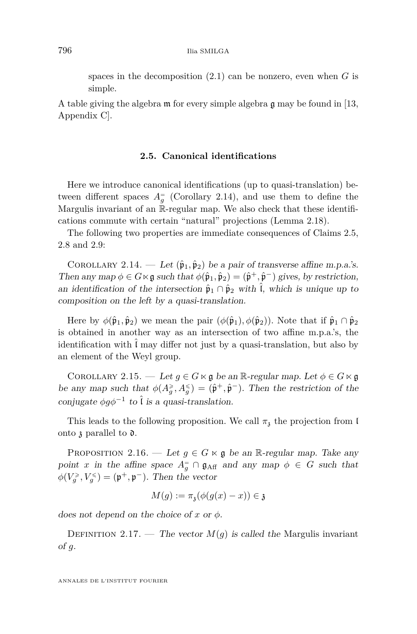spaces in the decomposition [\(2.1\)](#page-11-0) can be nonzero, even when *G* is simple.

A table giving the algebra m for every simple algebra g may be found in [\[13,](#page-47-14) Appendix C].

#### **2.5. Canonical identifications**

<span id="page-12-0"></span>Here we introduce canonical identifications (up to quasi-translation) between different spaces  $A_g^{\dagger}$  (Corollary [2.14\)](#page-12-1), and use them to define the Margulis invariant of an R-regular map. We also check that these identifications commute with certain "natural" projections (Lemma [2.18\)](#page-14-0).

The following two properties are immediate consequences of Claims [2.5,](#page-8-1) [2.8](#page-10-2) and [2.9:](#page-10-1)

<span id="page-12-1"></span>COROLLARY 2.14. — Let  $(\hat{\mathfrak{p}}_1, \hat{\mathfrak{p}}_2)$  be a pair of transverse affine m.p.a.'s. Then any map  $\phi \in G \ltimes \mathfrak{g}$  such that  $\phi(\hat{\mathfrak{p}}_1, \hat{\mathfrak{p}}_2) = (\hat{\mathfrak{p}}^+, \hat{\mathfrak{p}}^-)$  gives, by restriction, an identification of the intersection  $\hat{\mathfrak{p}}_1 \cap \hat{\mathfrak{p}}_2$  with  $\hat{\mathfrak{l}}$ , which is unique up to composition on the left by a quasi-translation.

Here by  $\phi(\hat{\mathfrak{p}}_1, \hat{\mathfrak{p}}_2)$  we mean the pair  $(\phi(\hat{\mathfrak{p}}_1), \phi(\hat{\mathfrak{p}}_2))$ . Note that if  $\hat{\mathfrak{p}}_1 \cap \hat{\mathfrak{p}}_2$ is obtained in another way as an intersection of two affine m.p.a.'s, the identification with  $\tilde{l}$  may differ not just by a quasi-translation, but also by an element of the Weyl group.

<span id="page-12-3"></span>COROLLARY 2.15. — Let  $g \in G \ltimes g$  be an R-regular map. Let  $\phi \in G \ltimes g$ be any map such that  $\phi(A_g^{\geq}, A_g^{\leq}) = (\hat{\mathfrak{p}}^+, \hat{\mathfrak{p}}^-)$ . Then the restriction of the conjugate  $\phi g \phi^{-1}$  to  $\hat{\iota}$  is a quasi-translation.

This leads to the following proposition. We call  $\pi$ <sub>z</sub> the projection from l onto  $\mathfrak z$  parallel to  $\mathfrak d$ .

<span id="page-12-2"></span>PROPOSITION 2.16. — Let  $g \in G \ltimes \mathfrak{g}$  be an R-regular map. Take any point *x* in the affine space  $A_g^= \cap \mathfrak{g}_{\text{Aff}}$  and any map  $\phi \in G$  such that  $\phi(V_g^{\geq}, V_g^{\leq}) = (\mathfrak{p}^+, \mathfrak{p}^-)$ . Then the vector

$$
M(g) := \pi_{\mathfrak{z}}(\phi(g(x) - x)) \in \mathfrak{z}
$$

does not depend on the choice of *x* or *φ*.

DEFINITION 2.17. — The vector  $M(q)$  is called the Margulis invariant of *g*.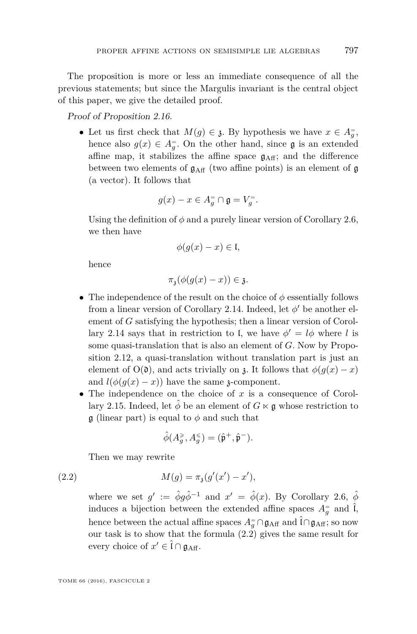The proposition is more or less an immediate consequence of all the previous statements; but since the Margulis invariant is the central object of this paper, we give the detailed proof.

Proof of Proposition [2.16.](#page-12-2)

• Let us first check that  $M(g) \in \mathfrak{z}$ . By hypothesis we have  $x \in A_g^-$ , hence also  $g(x) \in A_g^-$ . On the other hand, since  $\mathfrak g$  is an extended affine map, it stabilizes the affine space  $g_{\text{Aff}}$ ; and the difference between two elements of  $g_{\text{Aff}}$  (two affine points) is an element of g (a vector). It follows that

$$
g(x) - x \in A_g^= \cap \mathfrak{g} = V_g^=.
$$

Using the definition of  $\phi$  and a purely linear version of Corollary [2.6,](#page-9-0) we then have

$$
\phi(g(x)-x)\in \mathfrak{l},
$$

hence

 $\pi_3(\phi(g(x) - x)) \in \mathfrak{z}.$ 

- The independence of the result on the choice of  $\phi$  essentially follows from a linear version of Corollary [2.14.](#page-12-1) Indeed, let  $\phi'$  be another element of *G* satisfying the hypothesis; then a linear version of Corol-lary [2.14](#page-12-1) says that in restriction to l, we have  $\phi' = l\phi$  where *l* is some quasi-translation that is also an element of *G*. Now by Proposition [2.12,](#page-11-1) a quasi-translation without translation part is just an element of  $O(0)$ , and acts trivially on  $\chi$ . It follows that  $\phi(q(x)-x)$ and  $l(\phi(g(x) - x))$  have the same *z*-component.
- The independence on the choice of *x* is a consequence of Corol-lary [2.15.](#page-12-3) Indeed, let  $\hat{\phi}$  be an element of  $G \ltimes \mathfrak{g}$  whose restriction to  $\mathfrak g$  (linear part) is equal to  $\phi$  and such that

<span id="page-13-0"></span>
$$
\hat{\phi}(A_g^{\geqslant},A_g^{\leqslant})=(\hat{\mathfrak{p}}^+,\hat{\mathfrak{p}}^-).
$$

Then we may rewrite

(2.2) 
$$
M(g) = \pi_{\mathfrak{z}}(g'(x') - x'),
$$

where we set  $g' := \hat{\phi}g\hat{\phi}^{-1}$  and  $x' = \hat{\phi}(x)$ . By Corollary [2.6,](#page-9-0)  $\hat{\phi}$ induces a bijection between the extended affine spaces  $A_g^=$  and  $\hat{\mathbf{l}}$ , hence between the actual affine spaces  $A_g^= \cap \mathfrak{g}_{\text{Aff}}$  and  $\hat{\mathfrak{l}} \cap \mathfrak{g}_{\text{Aff}}$ ; so now our task is to show that the formula [\(2.2\)](#page-13-0) gives the same result for every choice of  $x' \in \hat{\mathfrak{l}} \cap \mathfrak{g}_{\text{Aff}}$ .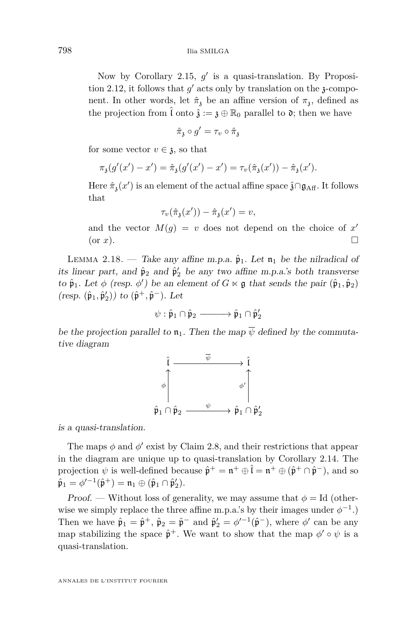Now by Corollary [2.15,](#page-12-3)  $g'$  is a quasi-translation. By Proposi-tion [2.12,](#page-11-1) it follows that  $g'$  acts only by translation on the  $\chi$ -component. In other words, let  $\hat{\pi}_{3}$  be an affine version of  $\pi_{3}$ , defined as the projection from  $\hat{\mathfrak{l}}$  onto  $\hat{\mathfrak{z}} := \mathfrak{z} \oplus \mathbb{R}_0$  parallel to  $\mathfrak{d}$ ; then we have

$$
\hat{\pi}_{\mathfrak{z}} \circ g' = \tau_v \circ \hat{\pi}_{\mathfrak{z}}
$$

for some vector  $v \in \mathfrak{z}$ , so that

$$
\pi_{\mathfrak{z}}(g'(x') - x') = \hat{\pi}_{\mathfrak{z}}(g'(x') - x') = \tau_v(\hat{\pi}_{\mathfrak{z}}(x')) - \hat{\pi}_{\mathfrak{z}}(x').
$$

Here  $\hat{\pi}_\mathfrak{z}(x')$  is an element of the actual affine space  $\hat{\mathfrak{z}} \cap \mathfrak{g}_{\text{Aff}}$ . It follows that

$$
\tau_v(\hat{\pi}_3(x')) - \hat{\pi}_3(x') = v,
$$

and the vector  $M(g) = v$  does not depend on the choice of  $x'$ (or  $x$ ).

<span id="page-14-0"></span>LEMMA 2.18. — Take any affine m.p.a.  $\hat{\mathfrak{p}}_1$ . Let  $\mathfrak{n}_1$  be the nilradical of its linear part, and  $\hat{\mathfrak{p}}_2$  and  $\hat{\mathfrak{p}}'_2$  be any two affine m.p.a.'s both transverse to  $\hat{\mathfrak{p}}_1$ . Let  $\phi$  (resp.  $\phi'$ ) be an element of  $G \ltimes \mathfrak{g}$  that sends the pair  $(\hat{\mathfrak{p}}_1, \hat{\mathfrak{p}}_2)$  $(resp. (\hat{\mathfrak{p}}_1, \hat{\mathfrak{p}}'_2))$  to  $(\hat{\mathfrak{p}}^+, \hat{\mathfrak{p}}^-)$ . Let

$$
\psi: \hat{\mathfrak{p}}_1 \cap \hat{\mathfrak{p}}_2 \longrightarrow \hat{\mathfrak{p}}_1 \cap \hat{\mathfrak{p}}_2'
$$

be the projection parallel to  $\mathfrak{n}_1$ . Then the map  $\overline{\psi}$  defined by the commutative diagram



is a quasi-translation.

The maps  $\phi$  and  $\phi'$  exist by Claim [2.8,](#page-10-2) and their restrictions that appear in the diagram are unique up to quasi-translation by Corollary [2.14.](#page-12-1) The projection  $\psi$  is well-defined because  $\hat{\mathfrak{p}}^+ = \mathfrak{n}^+ \oplus \hat{\mathfrak{l}} = \mathfrak{n}^+ \oplus (\hat{\mathfrak{p}}^+ \cap \hat{\mathfrak{p}}^-)$ , and so  $\hat{\mathfrak{p}}_1 = \phi'^{-1}(\hat{\mathfrak{p}}^+) = \mathfrak{n}_1 \oplus (\hat{\mathfrak{p}}_1 \cap \hat{\mathfrak{p}}'_2).$ 

Proof. — Without loss of generality, we may assume that  $\phi = Id$  (otherwise we simply replace the three affine m.p.a.'s by their images under  $\phi^{-1}$ .) Then we have  $\hat{\mathfrak{p}}_1 = \hat{\mathfrak{p}}^+$ ,  $\hat{\mathfrak{p}}_2 = \hat{\mathfrak{p}}^-$  and  $\hat{\mathfrak{p}}'_2 = \phi'^{-1}(\hat{\mathfrak{p}}^-)$ , where  $\phi'$  can be any map stabilizing the space  $\hat{\mathfrak{p}}^+$ . We want to show that the map  $\phi' \circ \psi$  is a quasi-translation.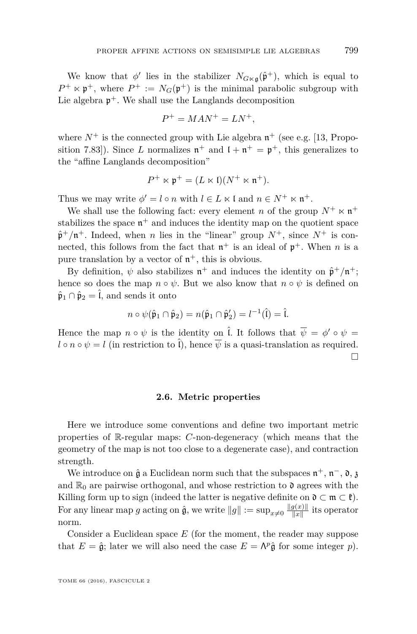We know that  $\phi'$  lies in the stabilizer  $N_{G \ltimes \mathfrak{g}}(\hat{\mathfrak{p}}^+)$ , which is equal to  $P^+ \ltimes \mathfrak{p}^+$ , where  $P^+ := N_G(\mathfrak{p}^+)$  is the minimal parabolic subgroup with Lie algebra  $\mathfrak{p}^+$ . We shall use the Langlands decomposition

$$
P^+ = MAN^+ = LN^+,
$$

where  $N^+$  is the connected group with Lie algebra  $\mathfrak{n}^+$  (see e.g. [\[13,](#page-47-14) Proposition 7.83]). Since *L* normalizes  $\mathfrak{n}^+$  and  $\mathfrak{l} + \mathfrak{n}^+ = \mathfrak{p}^+$ , this generalizes to the "affine Langlands decomposition"

$$
P^+ \ltimes \mathfrak{p}^+ = (L \ltimes \mathfrak{l})(N^+ \ltimes \mathfrak{n}^+).
$$

Thus we may write  $\phi' = l \circ n$  with  $l \in L \times l$  and  $n \in N^+ \times n^+$ .

We shall use the following fact: every element *n* of the group  $N^+ \ltimes n^+$ stabilizes the space  $\mathfrak{n}^+$  and induces the identity map on the quotient space  $\hat{\mathfrak{p}}^+/\mathfrak{n}^+$ . Indeed, when *n* lies in the "linear" group  $N^+$ , since  $N^+$  is connected, this follows from the fact that  $\mathfrak{n}^+$  is an ideal of  $\mathfrak{p}^+$ . When *n* is a pure translation by a vector of  $n^+$ , this is obvious.

By definition,  $\psi$  also stabilizes  $\mathfrak{n}^+$  and induces the identity on  $\hat{\mathfrak{p}}^+/\mathfrak{n}^+$ ; hence so does the map  $n \circ \psi$ . But we also know that  $n \circ \psi$  is defined on  $\hat{\mathfrak{p}}_1 \cap \hat{\mathfrak{p}}_2 = \hat{\mathfrak{l}}$ , and sends it onto

$$
n \circ \psi(\hat{\mathfrak{p}}_1 \cap \hat{\mathfrak{p}}_2) = n(\hat{\mathfrak{p}}_1 \cap \hat{\mathfrak{p}}'_2) = l^{-1}(\hat{l}) = \hat{l}.
$$

Hence the map  $n \circ \psi$  is the identity on  $\hat{l}$ . It follows that  $\overline{\psi} = \phi' \circ \psi =$  $l \circ n \circ \psi = l$  (in restriction to  $\tilde{l}$ ), hence  $\overline{\psi}$  is a quasi-translation as required.  $\Box$ 

#### **2.6. Metric properties**

<span id="page-15-0"></span>Here we introduce some conventions and define two important metric properties of R-regular maps: *C*-non-degeneracy (which means that the geometry of the map is not too close to a degenerate case), and contraction strength.

We introduce on  $\hat{\mathfrak{g}}$  a Euclidean norm such that the subspaces  $\mathfrak{n}^+$ ,  $\mathfrak{n}^-$ ,  $\mathfrak{d}$ ,  $\mathfrak{g}$ and  $\mathbb{R}_0$  are pairwise orthogonal, and whose restriction to  $\mathfrak{d}$  agrees with the Killing form up to sign (indeed the latter is negative definite on  $\mathfrak{d} \subset \mathfrak{m} \subset \mathfrak{k}$ ). For any linear map *g* acting on  $\hat{\mathfrak{g}}$ , we write  $||g|| := \sup_{x \neq 0} \frac{||g(x)||}{||x||}$  $\frac{g(x)}{\|x\|}$  its operator norm.

Consider a Euclidean space *E* (for the moment, the reader may suppose that  $E = \hat{\mathfrak{g}}$ ; later we will also need the case  $E = \Lambda^p \hat{\mathfrak{g}}$  for some integer *p*).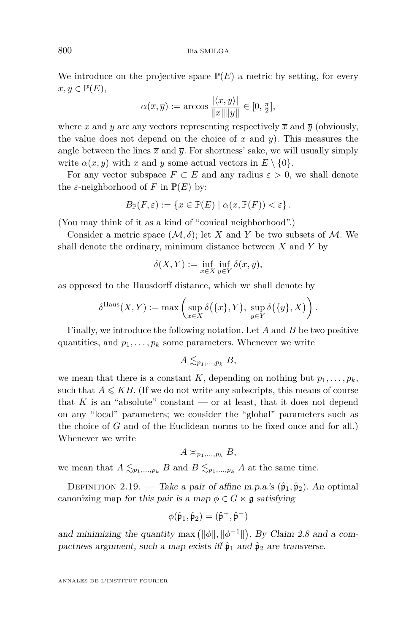We introduce on the projective space  $\mathbb{P}(E)$  a metric by setting, for every  $\overline{x}, \overline{y} \in \mathbb{P}(E),$ 

$$
\alpha(\overline{x}, \overline{y}) := \arccos \frac{|\langle x, y \rangle|}{\|x\| \|y\|} \in [0, \frac{\pi}{2}],
$$

where x and y are any vectors representing respectively  $\bar{x}$  and  $\bar{y}$  (obviously, the value does not depend on the choice of *x* and *y*). This measures the angle between the lines  $\bar{x}$  and  $\bar{y}$ . For shortness' sake, we will usually simply write  $\alpha(x, y)$  with *x* and *y* some actual vectors in  $E \setminus \{0\}$ .

For any vector subspace  $F \subset E$  and any radius  $\varepsilon > 0$ , we shall denote the  $\varepsilon$ -neighborhood of *F* in  $\mathbb{P}(E)$  by:

$$
B_{\mathbb{P}}(F,\varepsilon):=\{x\in\mathbb{P}(E)\mid \alpha(x,\mathbb{P}(F))<\varepsilon\}\,.
$$

(You may think of it as a kind of "conical neighborhood".)

Consider a metric space  $(M, \delta)$ ; let *X* and *Y* be two subsets of *M*. We shall denote the ordinary, minimum distance between *X* and *Y* by

$$
\delta(X, Y) := \inf_{x \in X} \inf_{y \in Y} \delta(x, y),
$$

as opposed to the Hausdorff distance, which we shall denote by

$$
\delta^{\mathrm{Haus}}(X,Y) := \max\left(\sup_{x \in X} \delta(\{x\}, Y), \sup_{y \in Y} \delta(\{y\}, X)\right).
$$

Finally, we introduce the following notation. Let *A* and *B* be two positive quantities, and  $p_1, \ldots, p_k$  some parameters. Whenever we write

$$
A \lesssim_{p_1,\ldots,p_k} B,
$$

we mean that there is a constant *K*, depending on nothing but  $p_1, \ldots, p_k$ , such that  $A \leqslant KB$ . (If we do not write any subscripts, this means of course that  $K$  is an "absolute" constant — or at least, that it does not depend on any "local" parameters; we consider the "global" parameters such as the choice of *G* and of the Euclidean norms to be fixed once and for all.) Whenever we write

$$
A \asymp_{p_1,\ldots,p_k} B,
$$

we mean that  $A \leq_{p_1,\ldots,p_k} B$  and  $B \leq_{p_1,\ldots,p_k} A$  at the same time.

DEFINITION 2.19. — Take a pair of affine m.p.a.'s  $(\hat{\mathfrak{p}}_1, \hat{\mathfrak{p}}_2)$ . An optimal canonizing map for this pair is a map  $\phi \in G \ltimes \mathfrak{g}$  satisfying

$$
\phi(\hat{\mathfrak{p}}_1,\hat{\mathfrak{p}}_2)=(\hat{\mathfrak{p}}^+,\hat{\mathfrak{p}}^-)
$$

and minimizing the quantity max  $(\|\phi\|, \|\phi^{-1}\|)$ . By Claim [2.8](#page-10-2) and a compactness argument, such a map exists iff  $\hat{\mathfrak{p}}_1$  and  $\hat{\mathfrak{p}}_2$  are transverse.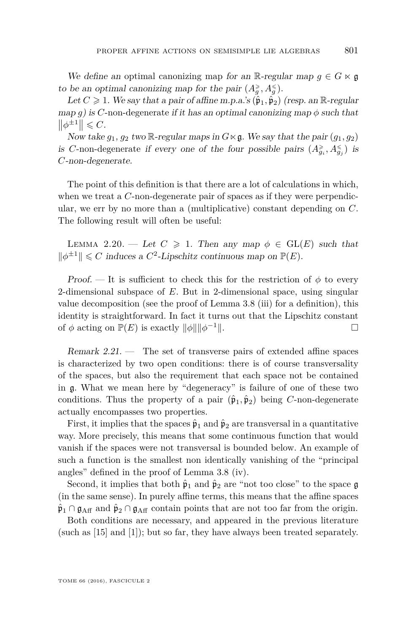We define an optimal canonizing map for an R-regular map  $q \in G \ltimes \mathfrak{g}$ to be an optimal canonizing map for the pair  $(A_g^{\geq}, A_g^{\leq})$ .

Let  $C \geq 1$ . We say that a pair of affine m.p.a.'s  $(\hat{\mathfrak{p}}_1, \hat{\mathfrak{p}}_2)$  (resp. an R-regular map *g*) is *C*-non-degenerate if it has an optimal canonizing map  $\phi$  such that  $||\phi^{\pm 1}|| \leqslant C.$ 

Now take  $g_1, g_2$  two R-regular maps in  $G \times \mathfrak{g}$ . We say that the pair  $(g_1, g_2)$ is *C*-non-degenerate if every one of the four possible pairs  $(A_{g_i}^{\geq}, A_{g_j}^{\leq})$  is *C*-non-degenerate.

The point of this definition is that there are a lot of calculations in which, when we treat a *C*-non-degenerate pair of spaces as if they were perpendicular, we err by no more than a (multiplicative) constant depending on *C*. The following result will often be useful:

<span id="page-17-0"></span>LEMMA 2.20. — Let  $C \geq 1$ . Then any map  $\phi \in GL(E)$  such that  $\|\phi^{\pm 1}\| \leq C$  induces a  $C^2$ -Lipschitz continuous map on  $\mathbb{P}(E)$ .

Proof. — It is sufficient to check this for the restriction of  $\phi$  to every 2-dimensional subspace of *E*. But in 2-dimensional space, using singular value decomposition (see the proof of Lemma [3.8](#page-26-0) (iii) for a definition), this identity is straightforward. In fact it turns out that the Lipschitz constant of  $\phi$  acting on  $\mathbb{P}(E)$  is exactly  $\|\phi\| \|\phi^{-1}\|$ .  $\Box$ 

Remark  $2.21$ . — The set of transverse pairs of extended affine spaces is characterized by two open conditions: there is of course transversality of the spaces, but also the requirement that each space not be contained in g. What we mean here by "degeneracy" is failure of one of these two conditions. Thus the property of a pair  $(\hat{\mathfrak{p}}_1, \hat{\mathfrak{p}}_2)$  being *C*-non-degenerate actually encompasses two properties.

First, it implies that the spaces  $\hat{\mathfrak{p}}_1$  and  $\hat{\mathfrak{p}}_2$  are transversal in a quantitative way. More precisely, this means that some continuous function that would vanish if the spaces were not transversal is bounded below. An example of such a function is the smallest non identically vanishing of the "principal angles" defined in the proof of Lemma [3.8](#page-26-0) (iv).

Second, it implies that both  $\hat{\mathfrak{p}}_1$  and  $\hat{\mathfrak{p}}_2$  are "not too close" to the space g (in the same sense). In purely affine terms, this means that the affine spaces  $\hat{\mathfrak{p}}_1 \cap \mathfrak{g}_{\rm Aff}$  and  $\hat{\mathfrak{p}}_2 \cap \mathfrak{g}_{\rm Aff}$  contain points that are not too far from the origin.

Both conditions are necessary, and appeared in the previous literature (such as [\[15\]](#page-47-3) and [\[1\]](#page-47-7)); but so far, they have always been treated separately.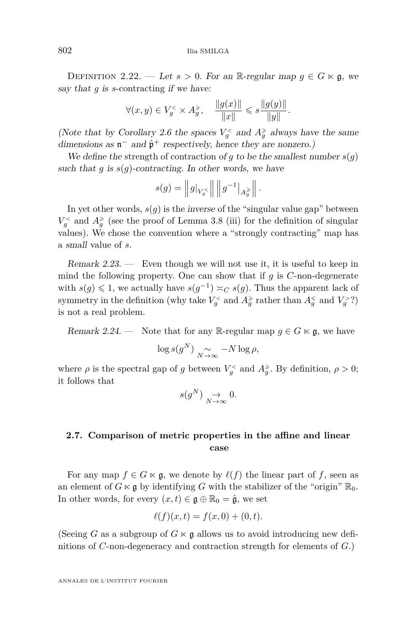<span id="page-18-2"></span>DEFINITION 2.22. — Let  $s > 0$ . For an R-regular map  $g \in G \ltimes \mathfrak{g}$ , we say that *g* is *s*-contracting if we have:

$$
\forall (x,y) \in V_g^{\scriptscriptstyle{<}} \times A_g^{\geqslant}, \quad \frac{\|g(x)\|}{\|x\|} \leqslant s \frac{\|g(y)\|}{\|y\|}.
$$

(Note that by Corollary [2.6](#page-9-0) the spaces  $V_g^{\lt}$  and  $A_g^{\ge}$  always have the same dimensions as  $\mathfrak{n}^-$  and  $\hat{\mathfrak{p}}^+$  respectively, hence they are nonzero.)

We define the strength of contraction of *g* to be the smallest number  $s(g)$ such that  $g$  is  $s(g)$ -contracting. In other words, we have

$$
s(g) = ||g||_{V_g} \le ||g||^{-1}||_{A_g^{\ge}} ||.
$$

In yet other words,  $s(g)$  is the *inverse* of the "singular value gap" between  $V_g^{\lt}$  and  $A_g^{\ge}$  (see the proof of Lemma [3.8](#page-26-0) (iii) for the definition of singular values). We chose the convention where a "strongly contracting" map has a small value of *s*.

<span id="page-18-1"></span>Remark 2.23. — Even though we will not use it, it is useful to keep in mind the following property. One can show that if  $q$  is  $C$ -non-degenerate with  $s(g) \leq 1$ , we actually have  $s(g^{-1}) \asymp_C s(g)$ . Thus the apparent lack of symmetry in the definition (why take  $V_g^{\lt}$  and  $A_g^{\ge}$  rather than  $A_g^{\le}$  and  $V_g^{\gt}$ ?) is not a real problem.

Remark 2.24. — Note that for any R-regular map  $g \in G \ltimes \mathfrak{g}$ , we have

$$
\log s(g^N) \underset{N \to \infty}{\sim} -N \log \rho,
$$

where  $\rho$  is the spectral gap of *g* between  $V_g^{\lt}$  and  $A_g^{\ge}$ . By definition,  $\rho > 0$ ; it follows that

$$
s(g^N) \underset{N \to \infty}{\to} 0.
$$

#### <span id="page-18-0"></span>**2.7. Comparison of metric properties in the affine and linear case**

For any map  $f \in G \ltimes \mathfrak{g}$ , we denote by  $\ell(f)$  the linear part of *f*, seen as an element of  $G \ltimes \mathfrak{g}$  by identifying  $G$  with the stabilizer of the "origin"  $\mathbb{R}_0$ . In other words, for every  $(x, t) \in \mathfrak{g} \oplus \mathbb{R}_0 = \hat{\mathfrak{g}}$ , we set

$$
\ell(f)(x,t) = f(x,0) + (0,t).
$$

(Seeing *G* as a subgroup of  $G \ltimes g$  allows us to avoid introducing new definitions of *C*-non-degeneracy and contraction strength for elements of *G*.)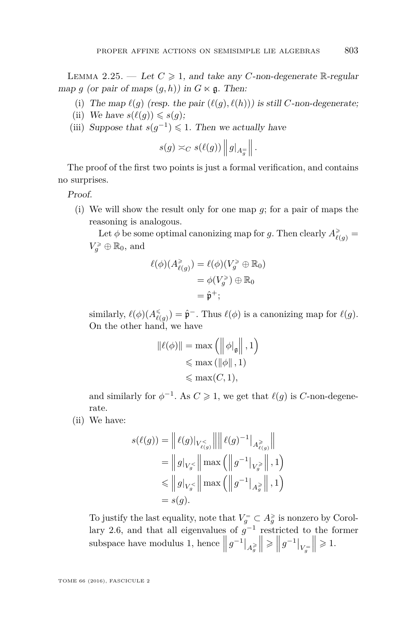<span id="page-19-0"></span>LEMMA 2.25. — Let  $C \geq 1$ , and take any *C*-non-degenerate R-regular map *g* (or pair of maps  $(q, h)$ ) in  $G \ltimes \mathfrak{g}$ . Then:

- (i) The map  $\ell(g)$  (resp. the pair  $(\ell(g), \ell(h))$ ) is still *C*-non-degenerate;
- (ii) We have  $s(\ell(q)) \leqslant s(q)$ ;
- (iii) Suppose that  $s(g^{-1}) \leq 1$ . Then we actually have

$$
s(g) \asymp_C s(\ell(g)) ||g|_{A_g^=} ||.
$$

The proof of the first two points is just a formal verification, and contains no surprises.

Proof.

(i) We will show the result only for one map *g*; for a pair of maps the reasoning is analogous.

Let  $\phi$  be some optimal canonizing map for *g*. Then clearly  $A_{\ell(g)}^{\geq} =$  $V_g^{\geqslant} \oplus \mathbb{R}_0$ , and

$$
\ell(\phi)(A_{\ell(g)}^{\geq}) = \ell(\phi)(V_g^{\geq} \oplus \mathbb{R}_0)
$$
  
=  $\phi(V_g^{\geq}) \oplus \mathbb{R}_0$   
=  $\hat{\mathfrak{p}}^+$ ;

similarly,  $\ell(\phi)(A_{\ell(g)}^{\leq}) = \hat{\mathfrak{p}}^{-}$ . Thus  $\ell(\phi)$  is a canonizing map for  $\ell(g)$ . On the other hand, we have

$$
\begin{aligned} \|\ell(\phi)\| &= \max\left(\left\|\phi|_{\mathfrak{g}}\right\|, 1\right) \\ &\leqslant \max\left(\left\|\phi\right\|, 1\right) \\ &\leqslant \max(C, 1), \end{aligned}
$$

and similarly for  $\phi^{-1}$ . As  $C \geq 1$ , we get that  $\ell(g)$  is *C*-non-degenerate.

(ii) We have:

$$
s(\ell(g)) = \left\| \ell(g)|_{V_{\ell(g)}^{\leq}} \right\| \left\| \ell(g)^{-1} \right\|_{A_{\ell(g)}^{\geq}} \left\| \\ = \left\| g \right\|_{V_g^{\leq}} \left\| \max \left( \left\| g^{-1} \right\|_{V_g^{\geq}} \right\|, 1 \right) \\ \leq \left\| g \right\|_{V_g^{\leq}} \left\| \max \left( \left\| g^{-1} \right\|_{A_g^{\geq}} \right\|, 1 \right) \\ = s(g).
$$

To justify the last equality, note that  $V_g^= \subset A_g^*$  is nonzero by Corol-lary [2.6,](#page-9-0) and that all eigenvalues of  $g^{-1}$  restricted to the former subspace have modulus 1, hence  $||g^{-1}||_{A_g^{\geq 0}}$  $\bigg\|\geqslant \bigg\|\,g^{-1}\big|_{V_g^=}$  $\Vert \geqslant 1.$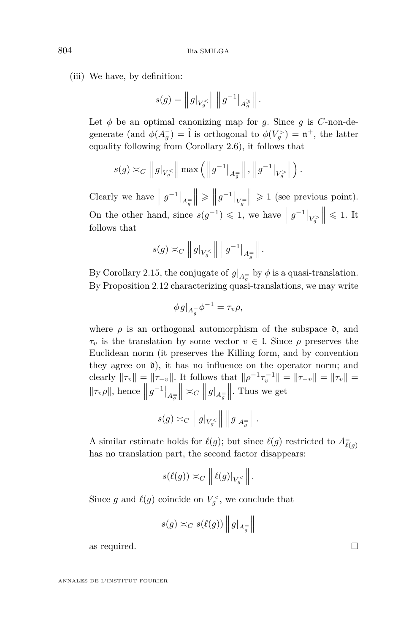(iii) We have, by definition:

$$
s(g)=\left\|\,g|_{V_g^{<}}\right\|\,\left\|\,g^{-1}\right\vert_{A_g^{\,\geqslant}}\,\right\|.
$$

Let  $\phi$  be an optimal canonizing map for *g*. Since *g* is *C*-non-degenerate (and  $\phi(A_g^+) = \hat{\iota}$  is orthogonal to  $\phi(V_g^+) = \mathfrak{n}^+$ , the latter equality following from Corollary [2.6\)](#page-9-0), it follows that

$$
s(g) \approx_C ||g|_{V_g} \le ||\max(||g^{-1}|_{A_g} ||, ||g^{-1}|_{V_g} \rangle ||).
$$

Clearly we have  $||g^{-1}||_{A_{g}^{\pm}}$  $\bigg\|\geqslant \bigg\|\,g^{-1}\big|_{V_g^=}$  $\| \geq 1$  (see previous point). On the other hand, since  $s(g^{-1}) \leq 1$ , we have  $||g^{-1}|_{V_g}$  $\Big\| \leqslant 1.$  It follows that

$$
s(g) \asymp_C \left\| g|_{V_g^{<}} \right\| \left\| g^{-1} \right\|_{A_g^{=}} \right\|.
$$

By Corollary [2.15,](#page-12-3) the conjugate of  $g|_{A_g^-}$  by  $\phi$  is a quasi-translation. By Proposition [2.12](#page-11-1) characterizing quasi-translations, we may write

$$
\phi g|_{A_g^{\pm}} \phi^{-1} = \tau_v \rho,
$$

where  $\rho$  is an orthogonal automorphism of the subspace  $\mathfrak{d}$ , and *τ<sup>v</sup>* is the translation by some vector *v* ∈ l. Since *ρ* preserves the Euclidean norm (it preserves the Killing form, and by convention they agree on  $\mathfrak{d}$ ), it has no influence on the operator norm; and clearly  $\|\tau_v\| = \|\tau_{-v}\|$ . It follows that  $\|\rho^{-1}\tau_v^{-1}\| = \|\tau_{-v}\| = \|\tau_v\| =$  $||\tau_v \rho||$ , hence  $||g^{-1}||_{A_{\overline{g}}}$  $\parallel \,\,\asymp_C$  $\left\| \left. g \right|_{A_{g}^{=} } \right.$  $\parallel$ . Thus we get

$$
s(g) \asymp_C \left\| g \big|_{V_g} \right\| \left\| g \big|_{A_g^=} \right\|.
$$

A similar estimate holds for  $\ell(g)$ ; but since  $\ell(g)$  restricted to  $A_{\ell(g)}^=$ has no translation part, the second factor disappears:

$$
s(\ell(g)) \asymp_C \left\| \ell(g)|_{V_g^<} \right\|.
$$

Since *g* and  $\ell(g)$  coincide on  $V_g^<$ , we conclude that

$$
s(g) \asymp_C s(\ell(g)) ||g|_{A_g^=} ||
$$

as required.  $\Box$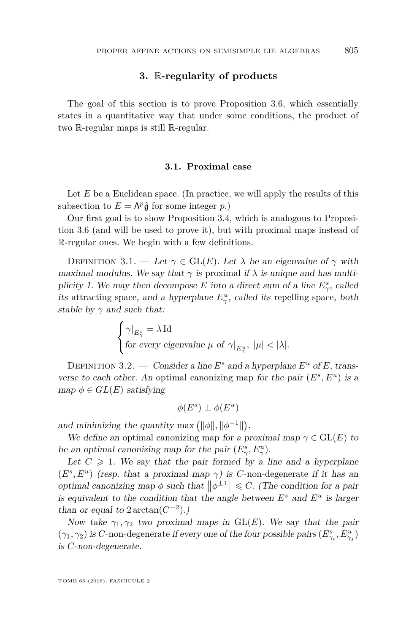#### **3.** R**-regularity of products**

<span id="page-21-0"></span>The goal of this section is to prove Proposition [3.6,](#page-25-0) which essentially states in a quantitative way that under some conditions, the product of two R-regular maps is still R-regular.

#### **3.1. Proximal case**

Let *E* be a Euclidean space. (In practice, we will apply the results of this subsection to  $E = \Lambda^p \hat{\mathfrak{g}}$  for some integer *p*.)

Our first goal is to show Proposition [3.4,](#page-22-0) which is analogous to Proposition [3.6](#page-25-0) (and will be used to prove it), but with proximal maps instead of R-regular ones. We begin with a few definitions.

DEFINITION 3.1. — Let  $\gamma \in \text{GL}(E)$ . Let  $\lambda$  be an eigenvalue of  $\gamma$  with maximal modulus. We say that  $\gamma$  is proximal if  $\lambda$  is unique and has multiplicity 1. We may then decompose *E* into a direct sum of a line  $E^s_\gamma$ , called its attracting space, and a hyperplane  $E^u_\gamma$ , called its repelling space, both stable by  $\gamma$  and such that:

$$
\begin{cases} \gamma|_{E_\gamma^s} = \lambda \operatorname{Id} \\ \text{for every eigenvalue } \mu \text{ of } \gamma|_{E_\gamma^u}, \ |\mu| < |\lambda|. \end{cases}
$$

DEFINITION 3.2. — Consider a line  $E^s$  and a hyperplane  $E^u$  of E, transverse to each other. An optimal canonizing map for the pair  $(E^s, E^u)$  is a  $map \ \phi \in GL(E)$  satisfying

$$
\phi(E^s)\perp \phi(E^u)
$$

and minimizing the quantity max  $(\|\phi\|, \|\phi^{-1}\|)$ .

We define an optimal canonizing map for a proximal map  $\gamma \in GL(E)$  to be an optimal canonizing map for the pair  $(E^s_\gamma, E^u_\gamma)$ .

Let  $C \geq 1$ . We say that the pair formed by a line and a hyperplane  $(E^s, E^u)$  (resp. that a proximal map  $\gamma$ ) is *C*-non-degenerate if it has an optimal canonizing map  $\phi$  such that  $\left\|\phi^{\pm 1}\right\| \leq C$ . (The condition for a pair is equivalent to the condition that the angle between  $E^s$  and  $E^u$  is larger than or equal to  $2 \arctan(C^{-2})$ .)

Now take  $\gamma_1, \gamma_2$  two proximal maps in  $GL(E)$ . We say that the pair  $(\gamma_1, \gamma_2)$  is *C*-non-degenerate if every one of the four possible pairs  $(E_{\gamma_i}^s, E_{\gamma_j}^u)$ is *C*-non-degenerate.

TOME 66 (2016), FASCICULE 2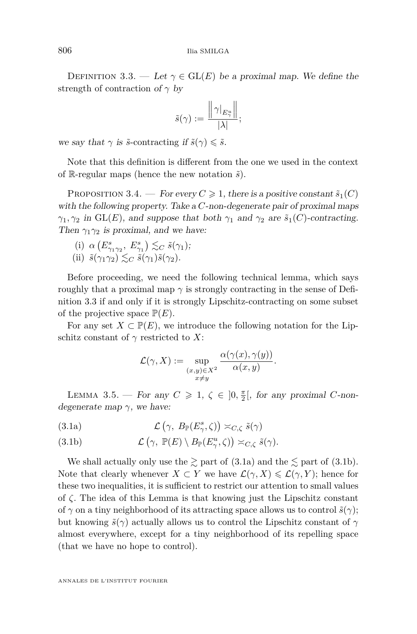<span id="page-22-1"></span>DEFINITION 3.3. — Let  $\gamma \in \text{GL}(E)$  be a proximal map. We define the strength of contraction of *γ* by

$$
\tilde{s}(\gamma) := \frac{\left\| \gamma \right\|_{E_\gamma^u} }{|\lambda|};
$$

we say that  $\gamma$  is  $\tilde{s}$ -contracting if  $\tilde{s}(\gamma) \leq \tilde{s}$ .

Note that this definition is different from the one we used in the context of R-regular maps (hence the new notation  $\tilde{s}$ ).

<span id="page-22-0"></span>PROPOSITION 3.4. — For every  $C \geq 1$ , there is a positive constant  $\tilde{s}_1(C)$ with the following property. Take a *C*-non-degenerate pair of proximal maps *γ*<sub>1</sub>*, γ*<sub>2</sub> in GL(*E*)*,* and suppose that both *γ*<sub>1</sub> and *γ*<sub>2</sub> are  $\tilde{s}_1$ (*C*)-contracting. Then  $\gamma_1 \gamma_2$  is proximal, and we have:

- (i)  $\alpha(E_{\gamma_1\gamma_2}^s, E_{\gamma_1}^s) \lesssim_C \tilde{s}(\gamma_1);$
- (ii)  $\tilde{s}(\gamma_1\gamma_2) \lesssim_C \tilde{s}(\gamma_1)\tilde{s}(\gamma_2)$ .

Before proceeding, we need the following technical lemma, which says roughly that a proximal map  $\gamma$  is strongly contracting in the sense of Definition [3.3](#page-22-1) if and only if it is strongly Lipschitz-contracting on some subset of the projective space  $\mathbb{P}(E)$ .

For any set  $X \subset \mathbb{P}(E)$ , we introduce the following notation for the Lipschitz constant of  $\gamma$  restricted to *X*:

$$
\mathcal{L}(\gamma, X) := \sup_{\substack{(x,y)\in X^2\\x\neq y}} \frac{\alpha(\gamma(x), \gamma(y))}{\alpha(x,y)}.
$$

<span id="page-22-4"></span>LEMMA 3.5. — For any  $C \geq 1$ ,  $\zeta \in ]0, \frac{\pi}{2}[$ , for any proximal *C*-nondegenerate map *γ*, we have:

<span id="page-22-2"></span>(3.1a)  $\mathcal{L}(\gamma, B_{\mathbb{P}}(E^s_\gamma, \zeta)) \asymp_{C,\zeta} \tilde{s}(\gamma)$ 

<span id="page-22-3"></span>(3.1b) 
$$
\mathcal{L}(\gamma, \mathbb{P}(E) \setminus B_{\mathbb{P}}(E_{\gamma}^u, \zeta)) \asymp_{C, \zeta} \tilde{s}(\gamma).
$$

We shall actually only use the  $\gtrsim$  part of [\(3.1a\)](#page-22-2) and the  $\lesssim$  part of [\(3.1b\)](#page-22-3). Note that clearly whenever  $X \subset Y$  we have  $\mathcal{L}(\gamma, X) \leq \mathcal{L}(\gamma, Y)$ ; hence for these two inequalities, it is sufficient to restrict our attention to small values of *ζ*. The idea of this Lemma is that knowing just the Lipschitz constant of  $\gamma$  on a tiny neighborhood of its attracting space allows us to control  $\tilde{s}(\gamma)$ ; but knowing  $\tilde{s}(\gamma)$  actually allows us to control the Lipschitz constant of  $\gamma$ almost everywhere, except for a tiny neighborhood of its repelling space (that we have no hope to control).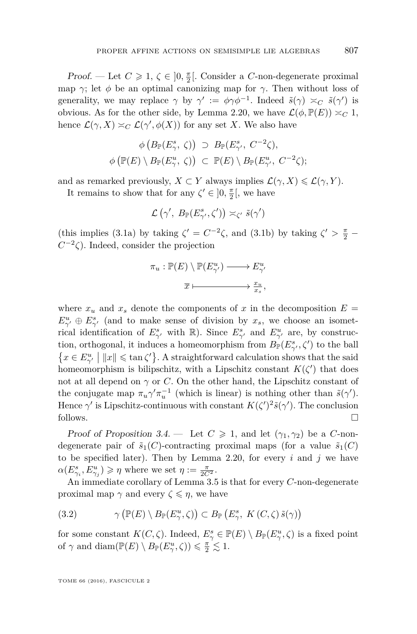*Proof.* — Let  $C \geq 1$ ,  $\zeta \in ]0, \frac{\pi}{2}[$ . Consider a *C*-non-degenerate proximal map *γ*; let  $\phi$  be an optimal canonizing map for *γ*. Then without loss of generality, we may replace  $\gamma$  by  $\gamma' := \phi \gamma \phi^{-1}$ . Indeed  $\tilde{s}(\gamma) \approx_C \tilde{s}(\gamma')$  is obvious. As for the other side, by Lemma [2.20,](#page-17-0) we have  $\mathcal{L}(\phi, \mathbb{P}(E)) \asymp_C 1$ , hence  $\mathcal{L}(\gamma, X) \simeq_C \mathcal{L}(\gamma', \phi(X))$  for any set *X*. We also have

$$
\phi\left(B_{\mathbb{P}}(E_{\gamma}^s, \zeta)\right) \supset B_{\mathbb{P}}(E_{\gamma'}^s, C^{-2}\zeta),
$$
  

$$
\phi\left(\mathbb{P}(E) \setminus B_{\mathbb{P}}(E_{\gamma}^u, \zeta)\right) \subset \mathbb{P}(E) \setminus B_{\mathbb{P}}(E_{\gamma'}^u, C^{-2}\zeta);
$$

and as remarked previously,  $X \subset Y$  always implies  $\mathcal{L}(\gamma, X) \leq \mathcal{L}(\gamma, Y)$ .

It remains to show that for any  $\zeta' \in ]0, \frac{\pi}{2}[$ , we have

$$
\mathcal{L}(\gamma',\ B_{\mathbb{P}}(E^s_{\gamma'},\zeta')) \asymp_{\zeta'} \tilde{s}(\gamma')
$$

(this implies [\(3.1a\)](#page-22-2) by taking  $\zeta' = C^{-2}\zeta$ , and [\(3.1b\)](#page-22-3) by taking  $\zeta' > \frac{\pi}{2}$  $C^{-2}\zeta$ ). Indeed, consider the projection

$$
\pi_u: \mathbb{P}(E) \setminus \mathbb{P}(E_{\gamma'}^u) \longrightarrow E_{\gamma'}^u
$$

$$
\overline{x} \longmapsto \frac{x_u}{x_s},
$$

where  $x_u$  and  $x_s$  denote the components of x in the decomposition  $E =$  $E^u_{\gamma'} \oplus E^s_{\gamma'}$  (and to make sense of division by  $x_s$ , we choose an isometrical identification of  $E^s_{\gamma'}$  with R). Since  $E^s_{\gamma'}$  and  $E^u_{\gamma'}$  are, by construction, orthogonal, it induces a homeomorphism from  $B_{\mathbb{P}}(E^s_{\gamma'}, \zeta')$  to the ball  $\{x \in E_{\gamma'}^u \mid ||x|| \leqslant \tan \zeta' \}$ . A straightforward calculation shows that the said homeomorphism is bilipschitz, with a Lipschitz constant  $K(\zeta')$  that does not at all depend on  $\gamma$  or *C*. On the other hand, the Lipschitz constant of the conjugate map  $\pi_u \gamma' \pi_u^{-1}$  (which is linear) is nothing other than  $\tilde{s}(\gamma')$ . Hence  $\gamma'$  is Lipschitz-continuous with constant  $K(\zeta')^2 \tilde{s}(\gamma')$ . The conclusion follows.

Proof of Proposition [3.4.](#page-22-0) — Let  $C \geq 1$ , and let  $(\gamma_1, \gamma_2)$  be a *C*-nondegenerate pair of  $\tilde{s}_1(C)$ -contracting proximal maps (for a value  $\tilde{s}_1(C)$ ) to be specified later). Then by Lemma [2.20,](#page-17-0) for every *i* and *j* we have  $\alpha(E_{\gamma_i}^s, E_{\gamma_j}^u) \geqslant \eta$  where we set  $\eta := \frac{\pi}{2C^2}$ .

An immediate corollary of Lemma [3.5](#page-22-4) is that for every *C*-non-degenerate proximal map  $\gamma$  and every  $\zeta \leqslant \eta$ , we have

<span id="page-23-0"></span>(3.2) 
$$
\gamma\left(\mathbb{P}(E)\setminus B_{\mathbb{P}}(E_{\gamma}^u,\zeta)\right)\subset B_{\mathbb{P}}\left(E_{\gamma}^s,\ K\left(C,\zeta\right)\tilde{s}(\gamma)\right)
$$

for some constant  $K(C, \zeta)$ . Indeed,  $E^s_\gamma \in \mathbb{P}(E) \setminus B_{\mathbb{P}}(E^u_\gamma, \zeta)$  is a fixed point of  $\gamma$  and diam( $\mathbb{P}(E) \setminus B_{\mathbb{P}}(E_{\gamma}^u, \zeta)$ )  $\leq \frac{\pi}{2} \leq 1$ .

TOME 66 (2016), FASCICULE 2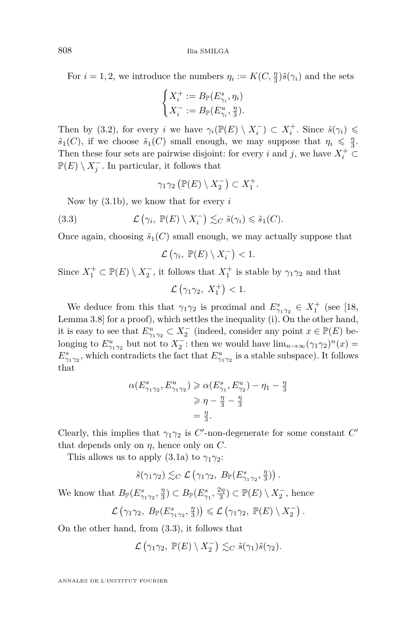For  $i = 1, 2$ , we introduce the numbers  $\eta_i := K(C, \frac{\eta}{3})\tilde{s}(\gamma_i)$  and the sets

$$
\begin{cases} X_i^+:=B_{\mathbb{P}}(E_{\gamma_i}^s,\eta_i)\\ X_i^-:=B_{\mathbb{P}}(E_{\gamma_i}^u,\frac{\eta}{3}).\end{cases}
$$

Then by [\(3.2\)](#page-23-0), for every *i* we have  $\gamma_i(\mathbb{P}(E) \setminus X_i^-) \subset X_i^+$ . Since  $\tilde{s}(\gamma_i) \leq$  $\tilde{s}_1(C)$ , if we choose  $\tilde{s}_1(C)$  small enough, we may suppose that  $\eta_i \leq \frac{\eta}{3}$ . Then these four sets are pairwise disjoint: for every *i* and *j*, we have  $X_i^+ \subset$  $\mathbb{P}(E) \setminus X_j^-$ . In particular, it follows that

<span id="page-24-0"></span>
$$
\gamma_1\gamma_2\left(\mathbb{P}(E)\setminus X_2^-\right)\subset X_1^+.
$$

Now by [\(3.1b\)](#page-22-3), we know that for every *i*

(3.3) 
$$
\mathcal{L}(\gamma_i, \mathbb{P}(E) \setminus X_i^-) \lesssim_C \tilde{s}(\gamma_i) \leq \tilde{s}_1(C).
$$

Once again, choosing  $\tilde{s}_1(C)$  small enough, we may actually suppose that

$$
\mathcal{L}(\gamma_i,\ \mathbb{P}(E)\setminus X_i^-)<1.
$$

Since  $X_1^+ \subset \mathbb{P}(E) \setminus X_2^-$ , it follows that  $X_1^+$  is stable by  $\gamma_1 \gamma_2$  and that

$$
\mathcal{L}(\gamma_1\gamma_2, X_1^+) < 1.
$$

We deduce from this that  $\gamma_1 \gamma_2$  is proximal and  $E^s_{\gamma_1 \gamma_2} \in X_1^+$  (see [\[18,](#page-47-16) Lemma 3.8] for a proof), which settles the inequality (i). On the other hand, it is easy to see that  $E_{\gamma_1 \gamma_2}^u \subset X_2^-$  (indeed, consider any point  $x \in \mathbb{P}(E)$  belonging to  $E_{\gamma_1 \gamma_2}^u$  but not to  $X_2^-$ : then we would have  $\lim_{n \to \infty} (\gamma_1 \gamma_2)^n(x) =$  $E^s_{\gamma_1\gamma_2}$ , which contradicts the fact that  $E^u_{\gamma_1\gamma_2}$  is a stable subspace). It follows that

$$
\alpha(E_{\gamma_1\gamma_2}^s, E_{\gamma_1\gamma_2}^u) \ge \alpha(E_{\gamma_1}^s, E_{\gamma_2}^u) - \eta_1 - \frac{\eta}{3}
$$
  
\n
$$
\ge \eta - \frac{\eta}{3} - \frac{\eta}{3}
$$
  
\n
$$
= \frac{\eta}{3}.
$$

Clearly, this implies that  $\gamma_1 \gamma_2$  is *C*'-non-degenerate for some constant *C*' that depends only on  $\eta$ , hence only on  $C$ .

This allows us to apply  $(3.1a)$  to  $\gamma_1 \gamma_2$ :

$$
\tilde{s}(\gamma_1\gamma_2)\lesssim_C \mathcal{L}\left(\gamma_1\gamma_2, B_{\mathbb{P}}(E^s_{\gamma_1\gamma_2}, \frac{\eta}{3})\right).
$$

We know that  $B_{\mathbb{P}}(E^s_{\gamma_1\gamma_2}, \frac{\eta}{3}) \subset B_{\mathbb{P}}(E^s_{\gamma_1}, \frac{2\eta}{3}) \subset \mathbb{P}(E) \setminus X_2^-$ , hence

$$
\mathcal{L}(\gamma_1\gamma_2, B_{\mathbb{P}}(E^s_{\gamma_1\gamma_2}, \tfrac{\eta}{3})) \leqslant \mathcal{L}(\gamma_1\gamma_2, \mathbb{P}(E) \setminus X_2^-).
$$

On the other hand, from [\(3.3\)](#page-24-0), it follows that

$$
\mathcal{L}(\gamma_1 \gamma_2, \mathbb{P}(E) \setminus X_2^-) \lesssim_C \tilde{s}(\gamma_1) \tilde{s}(\gamma_2).
$$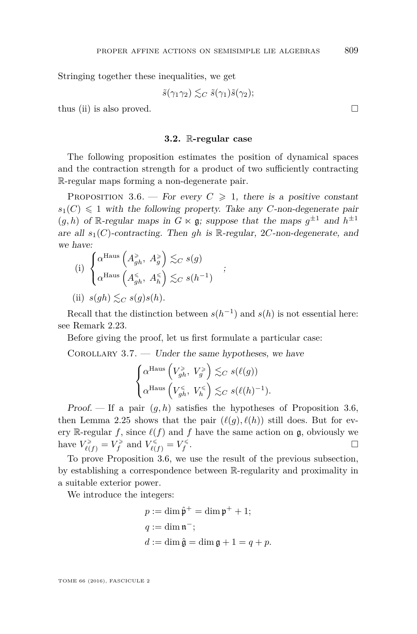Stringing together these inequalities, we get

$$
\tilde{s}(\gamma_1\gamma_2)\lesssim_C \tilde{s}(\gamma_1)\tilde{s}(\gamma_2);
$$

thus (ii) is also proved.  $\square$ 

#### **3.2.** R**-regular case**

The following proposition estimates the position of dynamical spaces and the contraction strength for a product of two sufficiently contracting R-regular maps forming a non-degenerate pair.

<span id="page-25-0"></span>PROPOSITION 3.6. — For every  $C \geq 1$ , there is a positive constant  $s_1(C) \leq 1$  with the following property. Take any *C*-non-degenerate pair  $(g, h)$  of R-regular maps in  $G \ltimes \mathfrak{g}$ ; suppose that the maps  $g^{\pm 1}$  and  $h^{\pm 1}$ are all  $s_1(C)$ -contracting. Then *qh* is R-regular, 2*C*-non-degenerate, and we have:

;

(i) 
$$
\begin{cases} \alpha^{\text{Haus}} \left( A_{gh}^{\geqslant}, A_g^{\geqslant} \right) \lesssim_C s(g) \\ \alpha^{\text{Haus}} \left( A_{gh}^{\leqslant}, A_h^{\leqslant} \right) \lesssim_C s(h^{-1}) \end{cases}
$$
  
(ii)  $s(gh) \lesssim_C s(g)s(h)$ .

Recall that the distinction between  $s(h^{-1})$  and  $s(h)$  is not essential here: see Remark [2.23.](#page-18-1)

Before giving the proof, let us first formulate a particular case:

<span id="page-25-1"></span>COROLLARY  $3.7.$  — Under the same hypotheses, we have

$$
\begin{cases} \alpha^{\text{Haus}}\left(V_{gh}^{\geqslant},\ V_g^{\geqslant}\right)\lesssim_C s(\ell(g))\\ \alpha^{\text{Haus}}\left(V_{gh}^{\leqslant},\ V_h^{\leqslant}\right)\lesssim_C s(\ell(h)^{-1}). \end{cases}
$$

Proof. — If a pair (*g, h*) satisfies the hypotheses of Proposition [3.6,](#page-25-0) then Lemma [2.25](#page-19-0) shows that the pair  $(\ell(q), \ell(h))$  still does. But for every R-regular *f*, since  $\ell(f)$  and *f* have the same action on g, obviously we have  $V_{\ell(f)}^{\geq} = V_f^{\geq}$  and  $V_{\ell(f)}^{\leq} = V_f^{\leq}$ .

To prove Proposition [3.6,](#page-25-0) we use the result of the previous subsection, by establishing a correspondence between R-regularity and proximality in a suitable exterior power.

We introduce the integers:

$$
p := \dim \hat{\mathfrak{p}}^+ = \dim \mathfrak{p}^+ + 1;
$$
  

$$
q := \dim \mathfrak{n}^-,
$$
  

$$
d := \dim \hat{\mathfrak{g}} = \dim \mathfrak{g} + 1 = q + p.
$$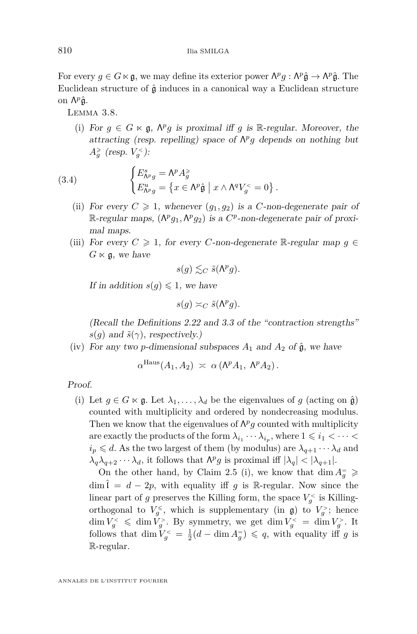For every  $g \in G \ltimes \mathfrak{g}$ , we may define its exterior power  $\Lambda^p g : \Lambda^p \hat{\mathfrak{g}} \to \Lambda^p \hat{\mathfrak{g}}$ . The Euclidean structure of  $\hat{\mathfrak{g}}$  induces in a canonical way a Euclidean structure on Λ<sup>ρ</sup>ĝ.

<span id="page-26-0"></span>Lemma 3.8.

(i) For  $g \in G \ltimes \mathfrak{g}$ ,  $\Lambda^p g$  is proximal iff  $g$  is R-regular. Moreover, the attracting (resp. repelling) space of  $\Lambda^p g$  depends on nothing but  $A_g^{\geq}($  (resp.  $V_g^{\lt}($ ):

(3.4) 
$$
\begin{cases} E_{\Lambda^{p}g}^{s} = \Lambda^{p} A_{g}^{s} \\ E_{\Lambda^{p}g}^{u} = \{ x \in \Lambda^{p} \hat{\mathfrak{g}} \mid x \wedge \Lambda^{q} V_{g}^{<} = 0 \} . \end{cases}
$$

- (ii) For every  $C \geq 1$ , whenever  $(q_1, q_2)$  is a *C*-non-degenerate pair of  $\mathbb{R}$ -regular maps,  $(\Lambda^p g_1, \Lambda^p g_2)$  is a  $C^p$ -non-degenerate pair of proximal maps.
- (iii) For every  $C \geq 1$ , for every *C*-non-degenerate R-regular map  $g \in$  $G \ltimes \mathfrak{g}$ , we have

$$
s(g) \lesssim_C \tilde{s}(\Lambda^p g).
$$

If in addition  $s(q) \leq 1$ , we have

$$
s(g) \asymp_C \tilde{s}(\Lambda^p g).
$$

(Recall the Definitions [2.22](#page-18-2) and [3.3](#page-22-1) of the "contraction strengths"  $s(q)$  and  $\tilde{s}(\gamma)$ , respectively.)

(iv) For any two *p*-dimensional subspaces  $A_1$  and  $A_2$  of  $\hat{\mathfrak{g}}$ , we have

 $\alpha^{\text{Haus}}(A_1, A_2) \ \asymp \ \alpha \left(\Lambda^p A_1, \ \Lambda^p A_2\right).$ 

Proof.

(i) Let  $g \in G \ltimes g$ . Let  $\lambda_1, \ldots, \lambda_d$  be the eigenvalues of g (acting on  $\hat{g}$ ) counted with multiplicity and ordered by nondecreasing modulus. Then we know that the eigenvalues of  $\Lambda^p g$  counted with multiplicity are exactly the products of the form  $\lambda_{i_1} \cdots \lambda_{i_p}$ , where  $1 \leqslant i_1 < \cdots <$  $i_p \leq d$ . As the two largest of them (by modulus) are  $\lambda_{q+1} \cdots \lambda_d$  and  $\lambda_q \lambda_{q+2} \cdots \lambda_d$ , it follows that  $\Lambda^p g$  is proximal iff  $|\lambda_q| < |\lambda_{q+1}|$ .

On the other hand, by Claim [2.5](#page-8-1) (i), we know that  $\dim A_g^=$   $\geq$  $\dim \mathcal{I} = d - 2p$ , with equality iff *g* is R-regular. Now since the linear part of *g* preserves the Killing form, the space  $V_g^{\lt}$  is Killingorthogonal to  $V_g^{\leq}$ , which is supplementary (in  $\mathfrak{g}$ ) to  $V_g^>$ ; hence  $\dim V_g^<\dim V_g^>$ . By symmetry, we get  $\dim V_g^<=\dim V_g^>$ . It follows that  $\dim V_g^{\lt} = \frac{1}{2}(d - \dim A_g^{\lt} ) \leqslant q$ , with equality iff *g* is R-regular.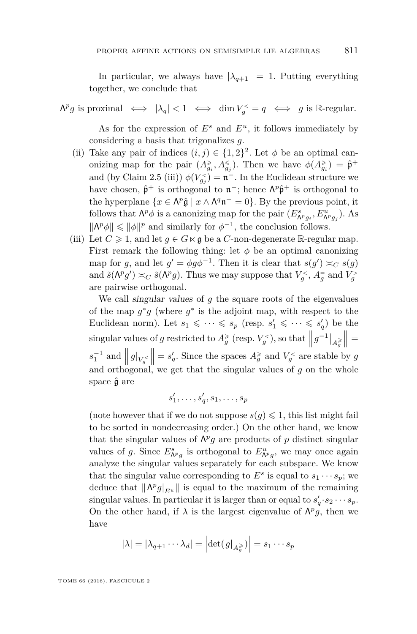In particular, we always have  $|\lambda_{q+1}| = 1$ . Putting everything together, we conclude that

 $\Lambda^p g$  is proximal  $\iff |\lambda_q| < 1 \iff \dim V_g^{\lt} = q \iff g$  is R-regular.

As for the expression of  $E^s$  and  $E^u$ , it follows immediately by considering a basis that trigonalizes *g*.

- (ii) Take any pair of indices  $(i, j) \in \{1, 2\}^2$ . Let  $\phi$  be an optimal canonizing map for the pair  $(A_{g_i}^{\geq}, A_{g_j}^{\leq})$ . Then we have  $\phi(A_{g_i}^{\geq}) = \hat{\mathfrak{p}}^+$ and (by Claim [2.5](#page-8-1) (iii))  $\phi(V_{g_j}^{\lt}) = \mathfrak{n}^-$ . In the Euclidean structure we have chosen,  $\hat{\mathfrak{p}}^+$  is orthogonal to  $\mathfrak{n}^-$ ; hence  $\Lambda^p \hat{\mathfrak{p}}^+$  is orthogonal to the hyperplane  $\{x \in \Lambda^p \hat{\mathfrak{g}} \mid x \wedge \Lambda^q \mathfrak{n}^- = 0\}$ . By the previous point, it follows that  $\Lambda^p \phi$  is a canonizing map for the pair  $(E^s_{\Lambda^p g_i}, E^u_{\Lambda^p g_j})$ . As  $\|\Lambda^p\phi\| \leq \|\phi\|^p$  and similarly for  $\phi^{-1}$ , the conclusion follows.
- (iii) Let  $C \geq 1$ , and let  $g \in G \ltimes g$  be a *C*-non-degenerate R-regular map. First remark the following thing: let  $\phi$  be an optimal canonizing map for *g*, and let  $g' = \phi g \phi^{-1}$ . Then it is clear that  $s(g') \approx_C s(g)$ and  $\tilde{s}(\Lambda^p g') \asymp_C \tilde{s}(\Lambda^p g)$ . Thus we may suppose that  $V_g^{\lt}$ ,  $A_g^=$  and  $V_g^{\gt}$ are pairwise orthogonal.

We call singular values of *g* the square roots of the eigenvalues of the map  $g^*g$  (where  $g^*$  is the adjoint map, with respect to the Euclidean norm). Let  $s_1 \leqslant \cdots \leqslant s_p$  (resp.  $s'_1 \leqslant \cdots \leqslant s'_q$ ) be the  $\int g^{-1} \Big|_{A_g^{\geq}}$  (resp.  $V_g^{\lt}$ ), so that  $\left\| g^{-1} \right\|_{A_g^{\geq}}$  $\Big\| =$  $s_1^{-1}$  and  $||g||_{V_g}$  $\|\ = s'_q$ . Since the spaces  $A_g^{\geq}$  and  $V_g^{\lt}$  are stable by *g* and orthogonal, we get that the singular values of *g* on the whole space  $\hat{\mathfrak{g}}$  are

$$
s'_1, \ldots, s'_q, s_1, \ldots, s_p
$$

(note however that if we do not suppose  $s(g) \leq 1$ , this list might fail to be sorted in nondecreasing order.) On the other hand, we know that the singular values of  $\Lambda^p g$  are products of *p* distinct singular values of *g*. Since  $E^s_{\Lambda^p g}$  is orthogonal to  $E^u_{\Lambda^p g}$ , we may once again analyze the singular values separately for each subspace. We know that the singular value corresponding to  $E^s$  is equal to  $s_1 \cdots s_p$ ; we deduce that  $\|\Lambda^p g|_{E^u}\|$  is equal to the maximum of the remaining singular values. In particular it is larger than or equal to  $s'_q \cdot s_2 \cdots s_p$ . On the other hand, if  $\lambda$  is the largest eigenvalue of  $\Lambda^p g$ , then we have

$$
|\lambda| = |\lambda_{q+1} \cdots \lambda_d| = \left| \det(g|_{A_g^{\geq}}) \right| = s_1 \cdots s_p
$$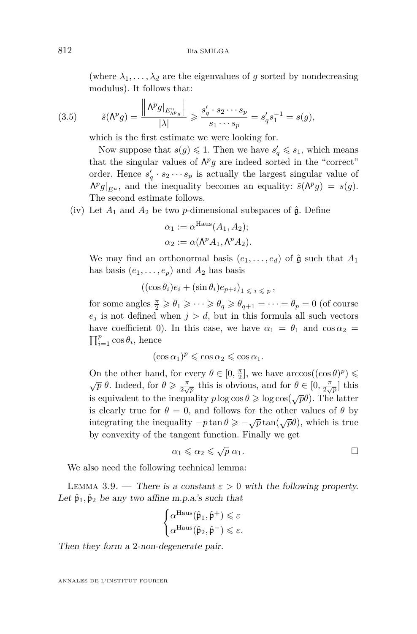(where  $\lambda_1, \ldots, \lambda_d$  are the eigenvalues of *g* sorted by nondecreasing modulus). It follows that:

(3.5) 
$$
\tilde{s}(\Lambda^p g) = \frac{\left\| \Lambda^p g \right\|_{E^u_{\Lambda^p g}}}{|\lambda|} \geq \frac{s'_q \cdot s_2 \cdots s_p}{s_1 \cdots s_p} = s'_q s_1^{-1} = s(g),
$$

which is the first estimate we were looking for.

Now suppose that  $s(g) \leq 1$ . Then we have  $s'_q \leq s_1$ , which means that the singular values of  $\Lambda^p g$  are indeed sorted in the "correct" order. Hence  $s'_q \cdot s_2 \cdots s_p$  is actually the largest singular value of  $\Lambda^p g|_{E^u}$ , and the inequality becomes an equality:  $\tilde{s}(\Lambda^p g) = s(g)$ . The second estimate follows.

(iv) Let  $A_1$  and  $A_2$  be two *p*-dimensional subspaces of  $\hat{\mathfrak{g}}$ . Define

$$
\alpha_1 := \alpha^{\text{Haus}}(A_1, A_2);
$$
  
\n
$$
\alpha_2 := \alpha(\Lambda^p A_1, \Lambda^p A_2).
$$

We may find an orthonormal basis  $(e_1, \ldots, e_d)$  of  $\hat{\mathfrak{g}}$  such that  $A_1$ has basis  $(e_1, \ldots, e_p)$  and  $A_2$  has basis

$$
((\cos \theta_i)e_i + (\sin \theta_i)e_{p+i})_{1 \leq i \leq p},
$$

for some angles  $\frac{\pi}{2} \geq \theta_1 \geq \cdots \geq \theta_q \geq \theta_{q+1} = \cdots = \theta_p = 0$  (of course  $e_j$  is not defined when  $j > d$ , but in this formula all such vectors have coefficient 0). In this case, we have  $\alpha_1 = \theta_1$  and  $\cos \alpha_2 =$  $\prod_{i=1}^{p} \cos \theta_i$ , hence

$$
(\cos \alpha_1)^p \leqslant \cos \alpha_2 \leqslant \cos \alpha_1.
$$

On the other hand, for every  $\theta \in [0, \frac{\pi}{2}]$ , we have  $\arccos((\cos \theta)^p) \le$  $\sqrt{p} \theta$ . Indeed, for  $\theta \ge \frac{\pi}{2\sqrt{p}}$  this is obvious, and for  $\theta \in [0, \frac{\pi}{2\sqrt{p}}]$  this is equivalent to the inequality  $p \log \cos \theta \geq \log \cos (\sqrt{p}\theta)$ . The latter is clearly true for  $\theta = 0$ , and follows for the other values of  $\theta$  by integrating the inequality  $-p \tan \theta \ge -\sqrt{p} \tan(\sqrt{p}\theta)$ , which is true by convexity of the tangent function. Finally we get

$$
\alpha_1 \leqslant \alpha_2 \leqslant \sqrt{p} \; \alpha_1. \qquad \qquad \Box
$$

We also need the following technical lemma:

<span id="page-28-0"></span>LEMMA 3.9. — There is a constant  $\varepsilon > 0$  with the following property. Let  $\hat{\mathfrak{p}}_1, \hat{\mathfrak{p}}_2$  be any two affine m.p.a.'s such that

$$
\begin{cases} \alpha^{\mathrm{Haus}}(\hat{\mathfrak{p}}_1, \hat{\mathfrak{p}}^+) \leqslant \varepsilon\\ \alpha^{\mathrm{Haus}}(\hat{\mathfrak{p}}_2, \hat{\mathfrak{p}}^-) \leqslant \varepsilon. \end{cases}
$$

Then they form a 2-non-degenerate pair.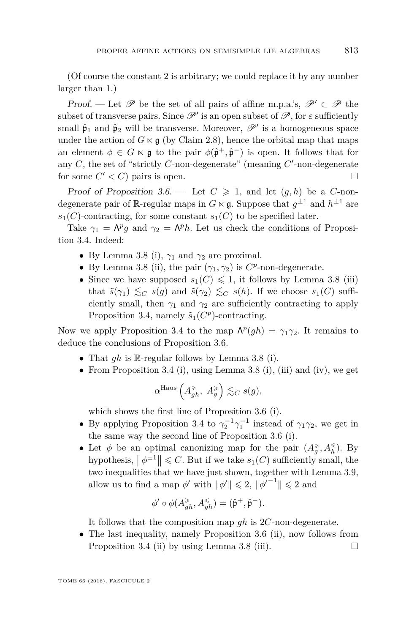(Of course the constant 2 is arbitrary; we could replace it by any number larger than 1.)

Proof. — Let  $\mathscr P$  be the set of all pairs of affine m.p.a.'s,  $\mathscr P' \subset \mathscr P$  the subset of transverse pairs. Since  $\mathscr{P}'$  is an open subset of  $\mathscr{P}$ , for  $\varepsilon$  sufficiently small  $\hat{\mathfrak{p}}_1$  and  $\hat{\mathfrak{p}}_2$  will be transverse. Moreover,  $\mathscr{P}'$  is a homogeneous space under the action of  $G \ltimes g$  (by Claim [2.8\)](#page-10-2), hence the orbital map that maps an element  $\phi \in G \ltimes \mathfrak{g}$  to the pair  $\phi(\hat{\mathfrak{p}}^+,\hat{\mathfrak{p}}^-)$  is open. It follows that for any  $C$ , the set of "strictly  $C$ -non-degenerate" (meaning  $C'$ -non-degenerate for some  $C' < C$ ) pairs is open.

Proof of Proposition [3.6.](#page-25-0) — Let  $C \geq 1$ , and let  $(q, h)$  be a *C*-nondegenerate pair of  $\mathbb{R}$ -regular maps in  $G \ltimes \mathfrak{g}$ . Suppose that  $g^{\pm 1}$  and  $h^{\pm 1}$  are  $s_1(C)$ -contracting, for some constant  $s_1(C)$  to be specified later.

Take  $\gamma_1 = \Lambda^p g$  and  $\gamma_2 = \Lambda^p h$ . Let us check the conditions of Proposition [3.4.](#page-22-0) Indeed:

- By Lemma [3.8](#page-26-0) (i),  $\gamma_1$  and  $\gamma_2$  are proximal.
- By Lemma [3.8](#page-26-0) (ii), the pair  $(\gamma_1, \gamma_2)$  is  $C^p$ -non-degenerate.
- Since we have supposed  $s_1(C) \leq 1$ , it follows by Lemma [3.8](#page-26-0) (iii) that  $\tilde{s}(\gamma_1) \lesssim_C s(g)$  and  $\tilde{s}(\gamma_2) \lesssim_C s(h)$ . If we choose  $s_1(C)$  sufficiently small, then  $\gamma_1$  and  $\gamma_2$  are sufficiently contracting to apply Proposition [3.4,](#page-22-0) namely  $\tilde{s}_1(C^p)$ -contracting.

Now we apply Proposition [3.4](#page-22-0) to the map  $\Lambda^p(gh) = \gamma_1 \gamma_2$ . It remains to deduce the conclusions of Proposition [3.6.](#page-25-0)

- That *gh* is <sup>R</sup>-regular follows by Lemma [3.8](#page-26-0) (i).
- From Proposition [3.4](#page-22-0) (i), using Lemma [3.8](#page-26-0) (i), (iii) and (iv), we get

$$
\alpha^{\rm Haus}\left(A_{gh}^\geqslant,A_g^\geqslant\right)\lesssim_C s(g),
$$

which shows the first line of Proposition [3.6](#page-25-0) (i).

- By applying Proposition [3.4](#page-22-0) to  $\gamma_2^{-1}\gamma_1^{-1}$  instead of  $\gamma_1\gamma_2$ , we get in the same way the second line of Proposition [3.6](#page-25-0) (i).
- Let  $\phi$  be an optimal canonizing map for the pair  $(A_g^{\geq}, A_h^{\leq})$ . By hypothesis,  $\left\|\phi^{\pm 1}\right\| \leq C$ . But if we take  $s_1(C)$  sufficiently small, the two inequalities that we have just shown, together with Lemma [3.9,](#page-28-0) allow us to find a map  $\phi'$  with  $\|\phi'\| \leq 2$ ,  $\|\phi'^{-1}\| \leq 2$  and

$$
\phi' \circ \phi(A_{gh}^{\geq}, A_{gh}^{\leq}) = (\hat{\mathfrak{p}}^+, \hat{\mathfrak{p}}^-).
$$

It follows that the composition map *gh* is 2*C*-non-degenerate.

• The last inequality, namely Proposition [3.6](#page-25-0) (ii), now follows from Proposition [3.4](#page-22-0) (ii) by using Lemma [3.8](#page-26-0) (iii).  $\Box$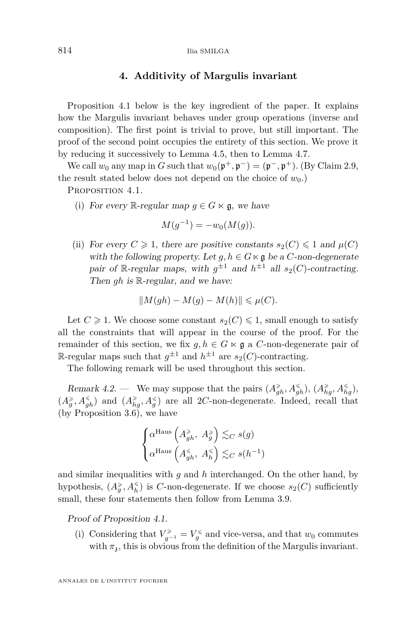#### **4. Additivity of Margulis invariant**

<span id="page-30-1"></span>Proposition [4.1](#page-30-0) below is the key ingredient of the paper. It explains how the Margulis invariant behaves under group operations (inverse and composition). The first point is trivial to prove, but still important. The proof of the second point occupies the entirety of this section. We prove it by reducing it successively to Lemma [4.5,](#page-33-0) then to Lemma [4.7.](#page-38-0)

We call  $w_0$  any map in *G* such that  $w_0(\mathfrak{p}^+, \mathfrak{p}^-) = (\mathfrak{p}^-, \mathfrak{p}^+)$ . (By Claim [2.9,](#page-10-1) the result stated below does not depend on the choice of  $w_0$ .)

<span id="page-30-0"></span>PROPOSITION 4.1.

(i) For every R-regular map  $g \in G \ltimes \mathfrak{g}$ , we have

$$
M(g^{-1}) = -w_0(M(g)).
$$

(ii) For every  $C \geq 1$ , there are positive constants  $s_2(C) \leq 1$  and  $\mu(C)$ with the following property. Let  $q, h \in G \ltimes \mathfrak{g}$  be a *C*-non-degenerate pair of R-regular maps, with  $g^{\pm 1}$  and  $h^{\pm 1}$  all  $s_2(C)$ -contracting. Then *gh* is R-regular, and we have:

$$
||M(gh) - M(g) - M(h)|| \leq \mu(C).
$$

Let  $C \geq 1$ . We choose some constant  $s_2(C) \leq 1$ , small enough to satisfy all the constraints that will appear in the course of the proof. For the remainder of this section, we fix  $g, h \in G \ltimes \mathfrak{g}$  a *C*-non-degenerate pair of R-regular maps such that  $g^{\pm 1}$  and  $h^{\pm 1}$  are  $s_2(C)$ -contracting.

The following remark will be used throughout this section.

<span id="page-30-2"></span>Remark 4.2. — We may suppose that the pairs  $(A_{gh}^{\geq}, A_{gh}^{\leq}), (A_{hg}^{\geq}, A_{hg}^{\leq}),$  $(A_g^{\geq}, A_{gh}^{\leq})$  and  $(A_{hg}^{\geq}, A_g^{\leq})$  are all 2*C*-non-degenerate. Indeed, recall that (by Proposition [3.6\)](#page-25-0), we have

$$
\begin{cases} \alpha^{\text{Haus}}\left(A_{gh}^{\geqslant},\;A_g^{\geqslant}\right)\lesssim_C s(g)\\ \alpha^{\text{Haus}}\left(A_{gh}^{\leqslant},\;A_h^{\leqslant}\right)\lesssim_C s(h^{-1}) \end{cases}
$$

and similar inequalities with *g* and *h* interchanged. On the other hand, by hypothesis,  $(A_g^{\geq}, A_h^{\leq})$  is *C*-non-degenerate. If we choose  $s_2(C)$  sufficiently small, these four statements then follow from Lemma [3.9.](#page-28-0)

Proof of Proposition [4.1.](#page-30-0)

(i) Considering that  $V_{g^{-1}}^{\geq} = V_g^{\leq}$  and vice-versa, and that  $w_0$  commutes with  $\pi_3$ , this is obvious from the definition of the Margulis invariant.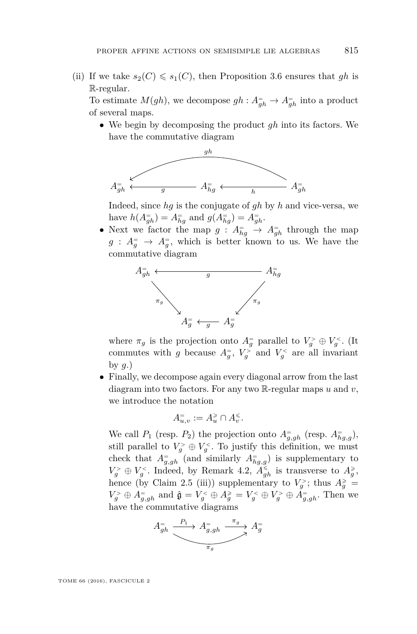(ii) If we take  $s_2(C) \leq s_1(C)$ , then Proposition [3.6](#page-25-0) ensures that *gh* is R-regular.

To estimate  $M(gh)$ , we decompose  $gh: A_{gh}^- \to A_{gh}^-$  into a product of several maps.

• We begin by decomposing the product *gh* into its factors. We have the commutative diagram



Indeed, since *hg* is the conjugate of *gh* by *h* and vice-versa, we have  $h(A_{gh}^=) = A_{hg}^=$  and  $g(A_{hg}^=) = A_{gh}^=$ .

• Next we factor the map  $g: A_{hg}^- \to A_{gh}^-$  through the map  $g: A_g^= \rightarrow A_g^=$ , which is better known to us. We have the commutative diagram



where  $\pi_g$  is the projection onto  $A_g^=$  parallel to  $V_g^> \oplus V_g^<$ . (It commutes with *g* because  $A_g^=$ ,  $V_g^>$  and  $V_g^<$  are all invariant by *g*.)

• Finally, we decompose again every diagonal arrow from the last diagram into two factors. For any two R-regular maps *u* and *v*, we introduce the notation

$$
A_{u,v}^=:=A_u^{\geqslant}\cap A_v^{\leqslant}.
$$

We call  $P_1$  (resp.  $P_2$ ) the projection onto  $A_{g,gh}^-$  (resp.  $A_{hg,g}^-$ ), still parallel to  $V_g^{\geq} \oplus V_g^{\leq}$ . To justify this definition, we must check that  $A_{g,gh}^=$  (and similarly  $A_{hg,g}^=$ ) is supplementary to  $V_g^> \oplus V_g^<$ . Indeed, by Remark [4.2,](#page-30-2)  $A_{gh}^{\leq}$  is transverse to  $A_g^{\geq}$ , hence (by Claim [2.5](#page-8-1) (iii)) supplementary to  $V_g^>$ ; thus  $A_g^* =$  $V_g^> \oplus A_{g,gh}^=$  and  $\hat{\mathfrak{g}} = V_g^< \oplus A_g^{\geq} = V_g^< \oplus V_g^> \oplus A_{g,gh}^=$ . Then we have the commutative diagrams

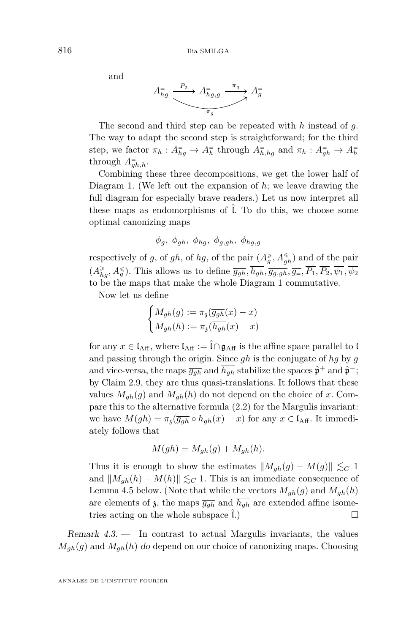and

$$
A_{hg}^= \xrightarrow{\quad P_2 \quad} A_{hg,g}^= \xrightarrow{\pi_g \quad} A_g^=
$$

The second and third step can be repeated with *h* instead of *g*. The way to adapt the second step is straightforward; for the third step, we factor  $\pi_h : A_{hg}^= \to A_h^=$  through  $A_{h,hg}^=$  and  $\pi_h : A_{gh}^= \to A_h^=$ through  $A_{gh,h}^-$ .

Combining these three decompositions, we get the lower half of Diagram [1.](#page-33-1) (We left out the expansion of *h*; we leave drawing the full diagram for especially brave readers.) Let us now interpret all these maps as endomorphisms of  $\hat{l}$ . To do this, we choose some optimal canonizing maps

*φg, φgh, φhg, φg,gh, φhg,g*

respectively of *g*, of *gh*, of *hg*, of the pair  $(A_g^{\geq}, A_{gh}^{\leq})$  and of the pair  $(A_{hg}^{\geq}, A_g^{\leq})$ . This allows us to define  $\overline{g_{gh}}, h_{gh}, \overline{g_{g,gh}}, \overline{g_{=}}, P_1, P_2, \psi_1, \psi_2$ to be the maps that make the whole Diagram [1](#page-33-1) commutative.

Now let us define

$$
\begin{cases} M_{gh}(g):=\pi_{\mathfrak{z}}(\overline{g_{gh}}(x)-x)\\ M_{gh}(h):=\pi_{\mathfrak{z}}(\overline{h_{gh}}(x)-x)\end{cases}
$$

for any  $x \in I_{\text{Aff}}$ , where  $I_{\text{Aff}} := \hat{I} \cap \mathfrak{g}_{\text{Aff}}$  is the affine space parallel to l and passing through the origin. Since *gh* is the conjugate of *hg* by *g* and vice-versa, the maps  $\overline{g_{gh}}$  and  $\overline{h_{gh}}$  stabilize the spaces  $\hat{\mathfrak{p}}^+$  and  $\hat{\mathfrak{p}}^-$ ; by Claim [2.9,](#page-10-1) they are thus quasi-translations. It follows that these values  $M_{gh}(g)$  and  $M_{gh}(h)$  do not depend on the choice of x. Compare this to the alternative formula [\(2.2\)](#page-13-0) for the Margulis invariant: we have  $M(gh) = \pi_3(\overline{g_{gh}} \circ \overline{h_{gh}}(x) - x)$  for any  $x \in I_{\text{Aff}}$ . It immediately follows that

$$
M(gh) = M_{gh}(g) + M_{gh}(h).
$$

Thus it is enough to show the estimates  $||M_{gh}(g) - M(g)|| \lesssim_C 1$ and  $||M_{gh}(h) - M(h)|| \leq_C 1$ . This is an immediate consequence of Lemma [4.5](#page-33-0) below. (Note that while the vectors  $M_{gh}(g)$  and  $M_{gh}(h)$ are elements of  $\delta$ , the maps  $\overline{g_{gh}}$  and  $\overline{h_{gh}}$  are extended affine isometries acting on the whole subspace  $\tilde{l}$ .)

Remark 4.3. — In contrast to actual Margulis invariants, the values  $M_{gh}(g)$  and  $M_{gh}(h)$  do depend on our choice of canonizing maps. Choosing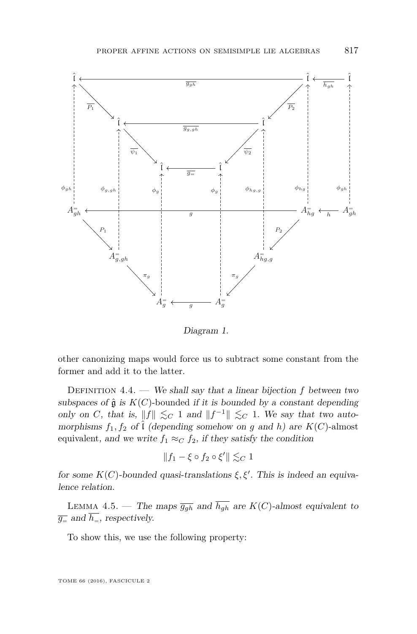

<span id="page-33-1"></span>Diagram 1.

full diagram for especially brave readers. other canonizing maps would force us to subtract some constant from the former and add it to the latter.

*DEFINITION* 4.4. — We shall say that a linear bijection  $f$  between two res of  $\mathfrak{g}$  is  $K(\mathcal{O})$ -bounded if it is bounded by a constant dependence of  $\mathfrak{g}$  and  $\mathfrak{g}$  and  $\mathfrak{g}$  and  $\mathfrak{g}$  and  $\mathfrak{g}$  and  $\mathfrak{g}$  and  $\mathfrak{g}$  and  $\mathfrak{g}$  and  $\mathfrak{g}$  and  $\mathfrak{g}$  an subspaces of  $\hat{\mathfrak{g}}$  is  $K(C)$ -bounded if it is bounded by a constant depending only on C, that is,  $||f|| \lesssim_C 1$  and  $||f^{-1}|| \lesssim_C 1$ . We say that two auto*hg*<sub>*n*</sub> *h*<sub>*n*</sub> *a* morphisms  $f_1, f_2$  of  $\hat{\iota}$  (depending somehow on *g* and *h*) are  $K(C)$ -almost equivalent, and we write  $f_1 \approx_C f_2$ , if they satisfy the condition

$$
\|f_1 - \xi \circ f_2 \circ \xi'\| \lesssim_C 1
$$

*for some*  $K(C)$ *-bounded quasi-translations*  $\xi, \xi'$ *. This is indeed an equiva-* $\frac{1}{\sqrt{2}}$  and  $\frac{1}{\sqrt{2}}$  and  $\frac{1}{\sqrt{2}}$  is the affine space parallel to a fine space parallel to a fine space parallel to a fine space parallel to a fine space parallel to a fine space parallel to a fine space para lence relation.

<span id="page-33-0"></span>LEMMA 4.5. — The maps  $\overline{g_{gh}}$  and  $\overline{h_{gh}}$  are  $K(C)$ -almost equivalent to  $\overline{g_{\equiv}}$  and  $\overline{h_{\equiv}}$ , respectively.

To show this, we use the following property:

TOME 66 (2016), FASCICULE 2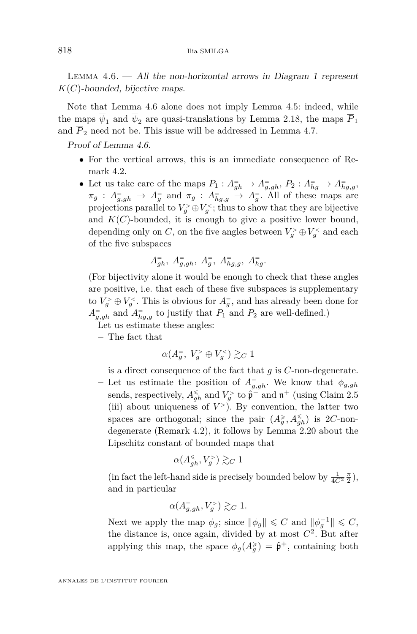<span id="page-34-0"></span>LEMMA  $4.6.$  — All the non-horizontal arrows in Diagram [1](#page-33-1) represent *K*(*C*)-bounded, bijective maps.

Note that Lemma [4.6](#page-34-0) alone does not imply Lemma [4.5:](#page-33-0) indeed, while the maps  $\overline{\psi}_1$  and  $\overline{\psi}_2$  are quasi-translations by Lemma [2.18,](#page-14-0) the maps  $\overline{P}_1$ and  $\overline{P}_2$  need not be. This issue will be addressed in Lemma [4.7.](#page-38-0)

Proof of Lemma [4.6.](#page-34-0)

- For the vertical arrows, this is an immediate consequence of Remark [4.2.](#page-30-2)
- Let us take care of the maps  $P_1: A_{gh}^- \to A_{g,gh}^-, P_2: A_{hg}^- \to A_{hg,g}^ \pi_g$  :  $A_{g,gh}$   $\rightarrow$   $A_g$  and  $\pi_g$  :  $A_{hg,g}$   $\rightarrow$   $A_g$ . All of these maps are projections parallel to  $V_g^> \oplus V_g^<$ ; thus to show that they are bijective and  $K(C)$ -bounded, it is enough to give a positive lower bound, depending only on *C*, on the five angles between  $V_g^> \oplus V_g^<$  and each of the five subspaces

$$
A_{gh}^=, A_{g,gh}^=, A_g^=, A_{hg,g}^=, A_{hg}^=.
$$

(For bijectivity alone it would be enough to check that these angles are positive, i.e. that each of these five subspaces is supplementary to  $V_g^> \oplus V_g^<$ . This is obvious for  $A_g^-$ , and has already been done for  $A_{g,gh}$  and  $A_{hg,g}$  to justify that  $P_1$  and  $P_2$  are well-defined.)

Let us estimate these angles:

**–** The fact that

$$
\alpha(A_g^=, V_g^> \oplus V_g^<) \gtrsim_C 1
$$

is a direct consequence of the fact that *g* is *C*-non-degenerate.

 $-$  Let us estimate the position of  $A_{g,gh}^=$ . We know that  $\phi_{g,gh}$ sends, respectively,  $A_{gh}^{\le}$  and  $V_g^>$  to  $\hat{\mathfrak{p}}^-$  and  $\mathfrak{n}^+$  (using Claim [2.5](#page-8-1) (iii) about uniqueness of  $V^>$ ). By convention, the latter two spaces are orthogonal; since the pair  $(A_g^{\geq}, A_{gh}^{\leq})$  is 2*C*-nondegenerate (Remark [4.2\)](#page-30-2), it follows by Lemma [2.20](#page-17-0) about the Lipschitz constant of bounded maps that

$$
\alpha(A_{gh}^{\leq},V_g^{>}) \gtrsim_C 1
$$

(in fact the left-hand side is precisely bounded below by  $\frac{1}{4C^2} \frac{\pi}{2}$ ), and in particular

$$
\alpha(A_{g,gh}^-, V_g^>) \gtrsim_C 1.
$$

Next we apply the map  $\phi_g$ ; since  $\|\phi_g\| \leq C$  and  $\|\phi_g^{-1}\| \leq C$ , the distance is, once again, divided by at most  $C^2$ . But after applying this map, the space  $\phi_g(A_g^*) = \hat{\mathfrak{p}}^+$ , containing both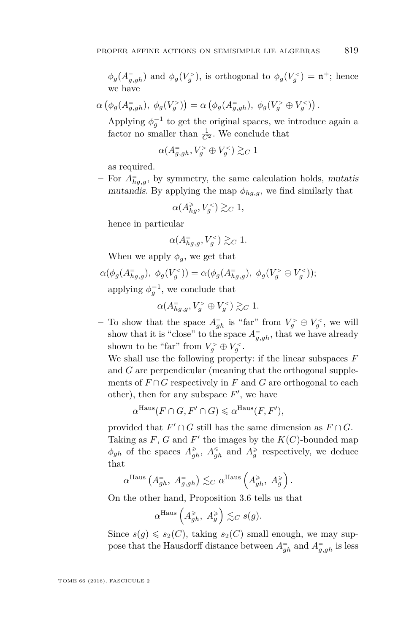$\phi_g(A_{g,gh}^=)$  and  $\phi_g(V_g^>)$ , is orthogonal to  $\phi_g(V_g^*) = \mathfrak{n}^+$ ; hence we have

 $\alpha\left(\phi_g(A_{g,gh}^-), \phi_g(V_g^>)\right) = \alpha\left(\phi_g(A_{g,gh}^-), \phi_g(V_g^> \oplus V_g^<)\right).$ 

Applying  $\phi_g^{-1}$  to get the original spaces, we introduce again a factor no smaller than  $\frac{1}{C^2}$ . We conclude that

$$
\alpha(A_{g,gh}^=,V_g^>\oplus V_g^<)\gtrsim_C 1
$$

as required.

**–** For *A*<sup>=</sup> *hg,g*, by symmetry, the same calculation holds, mutatis mutandis. By applying the map  $\phi_{hq,q}$ , we find similarly that

$$
\alpha(A_{hg}^\geq,V_g^<)\gtrsim_C 1,
$$

hence in particular

$$
\alpha(A_{hg,g}^=, V_g^<) \gtrsim_C 1.
$$

When we apply  $\phi_q$ , we get that

 $\alpha(\phi_g(A_{hg,g}^=), \phi_g(V_g^<)) = \alpha(\phi_g(A_{hg,g}^=), \phi_g(V_g^> \oplus V_g^<));$ 

applying  $\phi_g^{-1}$ , we conclude that

$$
\alpha(A_{hg,g}^=, V_g^> \oplus V_g^<) \gtrsim_C 1.
$$

 $-$  To show that the space  $A_{gh}^-$  is "far" from  $V_g^> \oplus V_g^<$ , we will show that it is "close" to the space  $A_{g,gh}^=$ , that we have already shown to be "far" from  $V_g^> \oplus V_g^<$ .

We shall use the following property: if the linear subspaces *F* and *G* are perpendicular (meaning that the orthogonal supplements of  $F \cap G$  respectively in  $F$  and  $G$  are orthogonal to each other), then for any subspace  $F'$ , we have

$$
\alpha^{\text{Haus}}(F \cap G, F' \cap G) \leq \alpha^{\text{Haus}}(F, F'),
$$

provided that  $F' \cap G$  still has the same dimension as  $F \cap G$ . Taking as  $F$ ,  $G$  and  $F'$  the images by the  $K(C)$ -bounded map  $\phi_{gh}$  of the spaces  $A_{gh}^{\geq}$ ,  $A_{gh}^{\leq}$  and  $A_g^{\geq}$  respectively, we deduce that

$$
\alpha^{\text{Haus}}\left(A_{gh}^=,\ A_{g,gh}^=\right)\lesssim_C \alpha^{\text{Haus}}\left(A_{gh}^{\geq},\ A_g^{\geq}\right).
$$

On the other hand, Proposition [3.6](#page-25-0) tells us that

$$
\alpha^{\text{Haus}}\left(A_{gh}^{\geq}, A_g^{\geq}\right) \lesssim_C s(g).
$$

Since  $s(g) \leq s_2(C)$ , taking  $s_2(C)$  small enough, we may suppose that the Hausdorff distance between  $A_{gh}^=$  and  $A_{g,gh}^=$  is less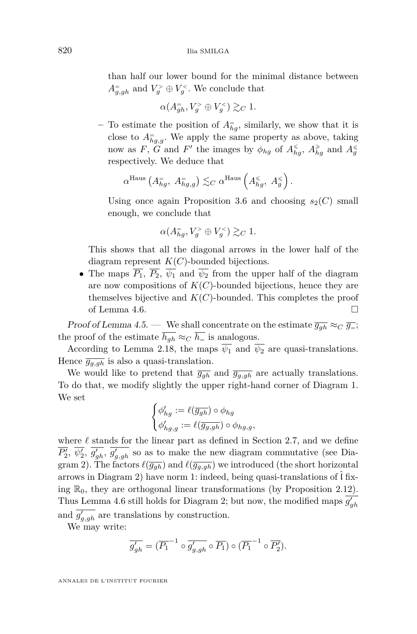than half our lower bound for the minimal distance between  $A_{g,gh}$  and  $V_g^> \oplus V_g^<$ . We conclude that

$$
\alpha(A_{gh}^=,V_g^>\oplus V_g^<)\gtrsim_C 1.
$$

 $-$  To estimate the position of  $A_{hg}^=$ , similarly, we show that it is close to  $A_{hg,g}^{\equiv}$ . We apply the same property as above, taking now as *F*, *G* and *F*<sup> $\prime$ </sup> the images by  $\phi_{hg}$  of  $A_{hg}^{\le}$ ,  $A_{hg}^{\ge}$  and  $A_g^{\le}$ respectively. We deduce that

$$
\alpha^{\text{Haus}}\left(A_{hg}^= , A_{hg,g}^= \right) \lesssim_C \alpha^{\text{Haus}}\left(A_{hg}^{\leq}, A_g^{\leq} \right).
$$

Using once again Proposition [3.6](#page-25-0) and choosing  $s_2(C)$  small enough, we conclude that

$$
\alpha(A_{hg}^=,V_g^>\oplus V_g^<)\gtrsim_C 1.
$$

This shows that all the diagonal arrows in the lower half of the diagram represent *K*(*C*)-bounded bijections.

• The maps  $\overline{P_1}$ ,  $\overline{P_2}$ ,  $\overline{\psi_1}$  and  $\overline{\psi_2}$  from the upper half of the diagram are now compositions of *K*(*C*)-bounded bijections, hence they are themselves bijective and  $K(C)$ -bounded. This completes the proof of Lemma [4.6.](#page-34-0)

Proof of Lemma [4.5.](#page-33-0) — We shall concentrate on the estimate  $\overline{g_{gh}} \approx_C \overline{g_{=}}$ ; the proof of the estimate  $\overline{h_{gh}} \approx_C \overline{h_{=}}$  is analogous.

According to Lemma [2.18,](#page-14-0) the maps  $\overline{\psi_1}$  and  $\overline{\psi_2}$  are quasi-translations. Hence  $\overline{g_{q,qh}}$  is also a quasi-translation.

We would like to pretend that  $\overline{g_{gh}}$  and  $\overline{g_{g,gh}}$  are actually translations. To do that, we modify slightly the upper right-hand corner of Diagram [1.](#page-33-1) We set

$$
\begin{cases} \phi_{hg}':=\ell(\overline{g_{gh}})\circ\phi_{hg}\\ \phi_{hg,g}':=\ell(\overline{g_{g,gh}})\circ\phi_{hg,g}, \end{cases}
$$

where  $\ell$  stands for the linear part as defined in Section [2.7,](#page-18-0) and we define  $\overline{P'_2}, \overline{\psi'_2}, \overline{g'_{gh}}, \overline{g'_{g,gh}}$  so as to make the new diagram commutative (see Dia-gram [2\)](#page-37-0). The factors  $\ell(\overline{g_{gh}})$  and  $\ell(\overline{g_{g,gh}})$  we introduced (the short horizontal arrows in Diagram [2\)](#page-37-0) have norm 1: indeed, being quasi-translations of  $\hat{\mathfrak{l}}$  fixing  $\mathbb{R}_0$ , they are orthogonal linear transformations (by Proposition [2.12\)](#page-11-1). Thus Lemma [4.6](#page-34-0) still holds for Diagram [2;](#page-37-0) but now, the modified maps  $\overline{g'_{gh}}$ and  $\overline{g'_{g,gh}}$  are translations by construction.

We may write:

$$
\overline{g'_{gh}} = (\overline{P_1}^{-1} \circ \overline{g'_{g,gh}} \circ \overline{P_1}) \circ (\overline{P_1}^{-1} \circ \overline{P'_2}).
$$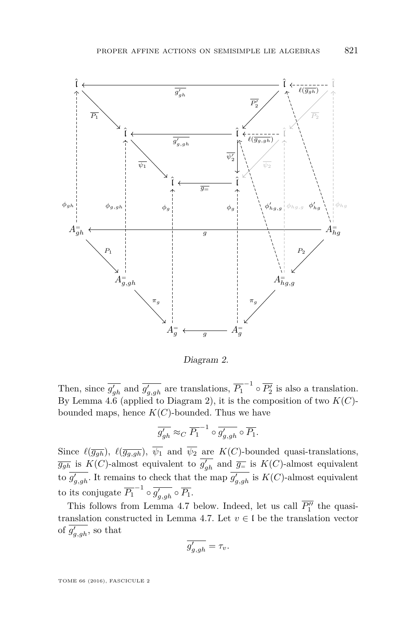

<span id="page-37-0"></span>Diagram 2.

Then, since  $\overline{g'_{gh}}$  and  $\overline{g'_{g,gh}}$  are translations,  $\overline{P_1}^{-1} \circ \overline{P'_2}$  is also a translation. By Lemma [4.6](#page-34-0) (applied to Diagram [2\)](#page-37-0), it is the composition of two  $K(C)$ bounded maps, hence  $K(C)$ -bounded. Thus we have

$$
\overline{g'_{gh}} \approx_C \overline{P_1}^{-1} \circ \overline{g'_{g,gh}} \circ \overline{P_1}.
$$

Since  $\ell(\overline{g_{gh}})$ ,  $\ell(\overline{g_{g,gh}})$ ,  $\overline{\psi_1}$  and  $\overline{\psi_2}$  are  $K(C)$ -bounded quasi-translations,  $\overline{g_{gh}}$  is  $K(C)$ -almost equivalent to  $\overline{g'_{gh}}$  and  $\overline{g_{=}}$  is  $K(C)$ -almost equivalent to  $\overline{g}'_{g,gh}$ . It remains to check that the map  $\overline{g}'_{g,gh}$  is  $K(C)$ -almost equivalent to its conjugate  $\overline{P_1}^{-1} \circ \overline{g'_{g,gh}} \circ \overline{P_1}$ .

This follows from Lemma [4.7](#page-38-0) below. Indeed, let us call  $\overline{P_1''}$  the quasi-translation constructed in Lemma [4.7.](#page-38-0) Let  $v \in I$  be the translation vector of  $\overline{g'_{g,gh}}$ , so that

$$
\overline{g'_{g, gh}} = \tau_v.
$$

TOME 66 (2016), FASCICULE 2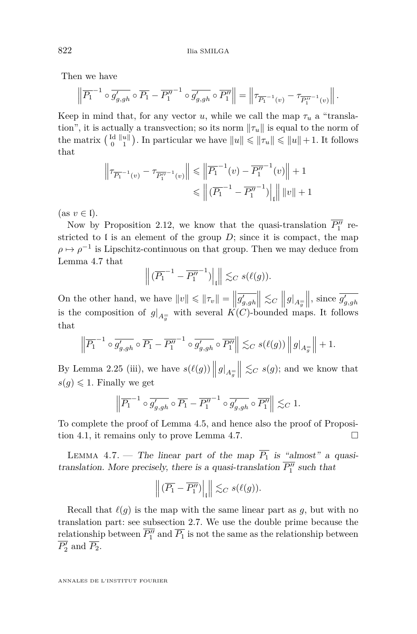Then we have

$$
\left\| \overline{P_1}^{-1} \circ \overline{g'_{g,gh}} \circ \overline{P_1} - \overline{P_1''}^{-1} \circ \overline{g'_{g,gh}} \circ \overline{P_1''} \right\| = \left\| \tau_{\overline{P_1}^{-1}(v)} - \tau_{\overline{P_1''}^{-1}(v)} \right\|.
$$

Keep in mind that, for any vector *u*, while we call the map  $\tau_u$  a "translation", it is actually a transvection; so its norm  $\|\tau_u\|$  is equal to the norm of the matrix  $\begin{bmatrix} \mathrm{Id} & \|u\| \\ 0 & 1 \end{bmatrix}$ . In particular we have  $||u|| \le ||\tau_u|| \le ||u|| + 1$ . It follows that

$$
\left\|\tau_{\overline{P_1}}^{-1}(v) - \tau_{\overline{P_1''}}^{-1}(v)\right\| \leq \left\|\overline{P_1}^{-1}(v) - \overline{P_1''}^{-1}(v)\right\| + 1
$$
  

$$
\leq \left\|\left(\overline{P_1}^{-1} - \overline{P_1''}^{-1}\right)\right\|_{\mathfrak{l}} \|v\| + 1
$$

 $(\text{as } v \in \mathfrak{l}).$ 

Now by Proposition [2.12,](#page-11-1) we know that the quasi-translation  $\overline{P_1''}$  restricted to  $\mathfrak l$  is an element of the group  $D$ ; since it is compact, the map  $\rho \mapsto \rho^{-1}$  is Lipschitz-continuous on that group. Then we may deduce from Lemma [4.7](#page-38-0) that

$$
\left\| \left( \overline{P_1}^{-1} - \overline{P_1''}^{-1} \right) \right|_1 \leq C s(\ell(g)).
$$

On the other hand, we have  $||v|| \le ||\tau_v|| = \left\|\overline{g'_{g,gh}}\right\|$  $\Big\| \lesssim_C \Big\| g|_{A_g^=}$  $\|\,\$  since  $\overline{g'_{g,gh}}\$ is the composition of  $g|_{A_g^-}$  with several  $K(C)$ -bounded maps. It follows that

$$
\left\| \overline{P_1}^{-1} \circ \overline{g'_{g,gh}} \circ \overline{P_1} - \overline{P''_1}^{-1} \circ \overline{g'_{g,gh}} \circ \overline{P''_1} \right\| \lesssim_C s(\ell(g)) \left\| g \right\|_{A_{\overline{g}}} \right\| + 1.
$$

By Lemma [2.25](#page-19-0) (iii), we have  $s(\ell(g))$   $||g||_{A_{\overline{g}}}$  $\left\| \leq_C s(g)$ ; and we know that  $s(q) \leq 1$ . Finally we get

$$
\left\| \overline{P_1}^{-1} \circ \overline{g'_{g, gh}} \circ \overline{P_1} - \overline{P_1''}^{-1} \circ \overline{g'_{g, gh}} \circ \overline{P_1''} \right\| \lesssim_C 1.
$$

To complete the proof of Lemma [4.5,](#page-33-0) and hence also the proof of Proposi-tion [4.1,](#page-30-0) it remains only to prove Lemma [4.7.](#page-38-0)  $\Box$ 

<span id="page-38-0"></span>LEMMA 4.7. — The linear part of the map  $\overline{P_1}$  is "almost" a quasitranslation. More precisely, there is a quasi-translation  $\overline{P_1''}$  such that

$$
\left\| \left( \overline{P_1} - \overline{P_1''} \right) \right|_{\mathfrak{l}} \right\| \lesssim_C s(\ell(g)).
$$

Recall that  $\ell(g)$  is the map with the same linear part as  $g$ , but with no translation part: see subsection [2.7.](#page-18-0) We use the double prime because the relationship between  $\overline{P_1''}$  and  $\overline{P_1}$  is not the same as the relationship between  $\overline{P'_2}$  and  $\overline{P_2}$ .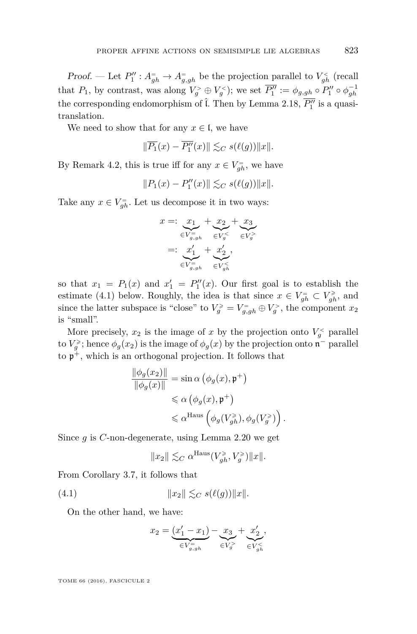*Proof.* — Let  $P''_1: A_{gh}^- \to A_{g,gh}^-$  be the projection parallel to  $V_{gh}^{\lt}$  (recall that  $P_1$ , by contrast, was along  $V_g^> \oplus V_g^<$ ); we set  $\overline{P_1''} := \phi_{g,gh} \circ P_1'' \circ \phi_{gh}^{-1}$ the corresponding endomorphism of  $\hat{\mathfrak{l}}$ . Then by Lemma [2.18,](#page-14-0)  $\overline{P''_1}$  is a quasitranslation.

We need to show that for any  $x \in I$ , we have

$$
\|\overline{P_1}(x) - \overline{P''_1}(x)\| \lesssim_C s(\ell(g)) \|x\|.
$$

By Remark [4.2,](#page-30-2) this is true iff for any  $x \in V_{gh}^-$ , we have

$$
||P_1(x) - P_1''(x)|| \lesssim_C s(\ell(g)) ||x||.
$$

Take any  $x \in V_{gh}^-$ . Let us decompose it in two ways:

$$
x =: \underbrace{x_1}_{\in V_{g,gh}^-} + \underbrace{x_2}_{\in V_g^-} + \underbrace{x_3}_{\in V_g^-} + \underbrace{x_2}_{\in V_g^0}
$$
  
=: 
$$
\underbrace{x_1'}_{\in V_{g,gh}^-} + \underbrace{x_2'}_{\in V_{gh}^-}
$$

so that  $x_1 = P_1(x)$  and  $x'_1 = P''_1(x)$ . Our first goal is to establish the estimate [\(4.1\)](#page-39-0) below. Roughly, the idea is that since  $x \in V_{gh}^- \subset V_{gh}^{\ge}$ , and since the latter subspace is "close" to  $V_g^{\geq} = V_{g,gh} = V_g^{\geq}$ , the component  $x_2$ is "small".

More precisely,  $x_2$  is the image of  $x$  by the projection onto  $V_g^<$  parallel to  $V_g^{\geq}$ ; hence  $\phi_g(x_2)$  is the image of  $\phi_g(x)$  by the projection onto  $\mathfrak{n}^-$  parallel to p <sup>+</sup>, which is an orthogonal projection. It follows that

$$
\frac{\|\phi_g(x_2)\|}{\|\phi_g(x)\|} = \sin \alpha \left(\phi_g(x), \mathfrak{p}^+\right)
$$
  
\$\leq \alpha \left(\phi\_g(x), \mathfrak{p}^+\right)\$  
\$\leq \alpha^{\text{Haus}}\left(\phi\_g(V\_{gh}^{\geq}), \phi\_g(V\_g^{\geq})\right)\$.

Since *g* is *C*-non-degenerate, using Lemma [2.20](#page-17-0) we get

<span id="page-39-0"></span>
$$
||x_2|| \lesssim_C \alpha^{\rm Haus} (V_{gh}^\geqslant, V_g^\geqslant) ||x||.
$$

From Corollary [3.7,](#page-25-1) it follows that

(4.1) 
$$
||x_2|| \lesssim_C s(\ell(g)) ||x||.
$$

On the other hand, we have:

$$
x_2=\underbrace{(x_1'-x_1)}_{\in V_{g,gh}^-}-\underbrace{x_3}_{\in V_g^>}+\underbrace{x_2'}_{\in V_{gh}^<}.
$$

TOME 66 (2016), FASCICULE 2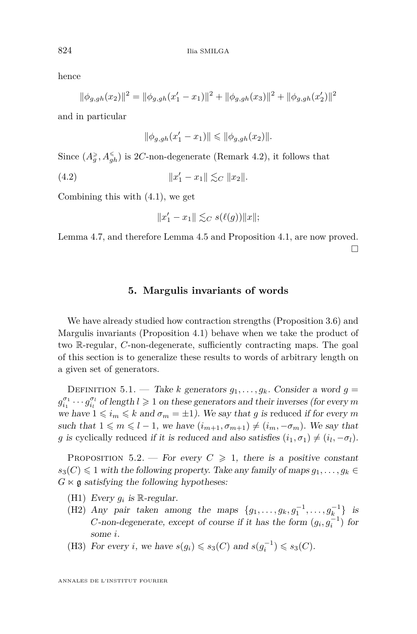hence

$$
\|\phi_{g,gh}(x_2)\|^2 = \|\phi_{g,gh}(x_1' - x_1)\|^2 + \|\phi_{g,gh}(x_3)\|^2 + \|\phi_{g,gh}(x_2')\|^2
$$

and in particular

$$
\|\phi_{g,gh}(x_1' - x_1)\| \le \|\phi_{g,gh}(x_2)\|.
$$

Since  $(A_g^{\geq}, A_{gh}^{\leq})$  is 2*C*-non-degenerate (Remark [4.2\)](#page-30-2), it follows that

 $(4.2)$   $||x$  $\|x_1 - x_1\| \lesssim_C \|x_2\|.$ 

Combining this with [\(4.1\)](#page-39-0), we get

$$
||x'_1 - x_1|| \lesssim_C s(\ell(g)) ||x||;
$$

Lemma [4.7,](#page-38-0) and therefore Lemma [4.5](#page-33-0) and Proposition [4.1,](#page-30-0) are now proved. П

#### **5. Margulis invariants of words**

<span id="page-40-0"></span>We have already studied how contraction strengths (Proposition [3.6\)](#page-25-0) and Margulis invariants (Proposition [4.1\)](#page-30-0) behave when we take the product of two R-regular, *C*-non-degenerate, sufficiently contracting maps. The goal of this section is to generalize these results to words of arbitrary length on a given set of generators.

DEFINITION 5.1. — Take *k* generators  $q_1, \ldots, q_k$ . Consider a word  $q =$  $g_{i_1}^{\sigma_1} \cdots g_{i_l}^{\sigma_l}$  of length  $l \geqslant 1$  on these generators and their inverses (for every *m* we have  $1 \leq i_m \leq k$  and  $\sigma_m = \pm 1$ ). We say that *g* is reduced if for every *m* such that  $1 \leq m \leq l-1$ , we have  $(i_{m+1}, \sigma_{m+1}) \neq (i_m, -\sigma_m)$ . We say that *g* is cyclically reduced if it is reduced and also satisfies  $(i_1, \sigma_1) \neq (i_l, -\sigma_l)$ .

<span id="page-40-1"></span>PROPOSITION 5.2. — For every  $C \geq 1$ , there is a positive constant  $s_3(C) \leq 1$  with the following property. Take any family of maps  $g_1, \ldots, g_k \in$  $G \ltimes \mathfrak{g}$  satisfying the following hypotheses:

- (H1) Every  $g_i$  is  $\mathbb{R}$ -regular.
- (H2) Any pair taken among the maps  $\{g_1, \ldots, g_k, g_1^{-1}, \ldots, g_{k}^{-1}\}\$  is *C*-non-degenerate, except of course if it has the form  $(g_i, g_i^{-1})$  for some *i*.
- (H3) For every *i*, we have  $s(g_i) \leq s_3(C)$  and  $s(g_i^{-1}) \leq s_3(C)$ .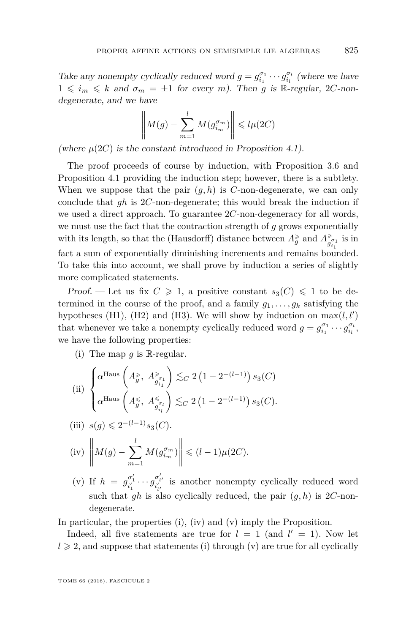Take any nonempty cyclically reduced word  $g = g_{i_1}^{\sigma_1} \cdots g_{i_l}^{\sigma_l}$  (where we have  $1 \leq i_m \leq k$  and  $\sigma_m = \pm 1$  for every *m*). Then *g* is R-regular, 2*C*-nondegenerate, and we have

$$
\left\| M(g) - \sum_{m=1}^{l} M(g_{i_m}^{\sigma_m}) \right\| \leq l \mu(2C)
$$

(where  $\mu(2C)$  is the constant introduced in Proposition [4.1\)](#page-30-0).

The proof proceeds of course by induction, with Proposition [3.6](#page-25-0) and Proposition [4.1](#page-30-0) providing the induction step; however, there is a subtlety. When we suppose that the pair  $(g, h)$  is *C*-non-degenerate, we can only conclude that *gh* is 2*C*-non-degenerate; this would break the induction if we used a direct approach. To guarantee 2*C*-non-degeneracy for all words, we must use the fact that the contraction strength of *g* grows exponentially with its length, so that the (Hausdorff) distance between  $A_g^{\geqslant}$  and  $A_{g_{i_1}}^{\geqslant}$  is in fact a sum of exponentially diminishing increments and remains bounded. To take this into account, we shall prove by induction a series of slightly more complicated statements.

Proof. — Let us fix  $C \geq 1$ , a positive constant  $s_3(C) \leq 1$  to be determined in the course of the proof, and a family  $q_1, \ldots, q_k$  satisfying the hypotheses (H1), (H2) and (H3). We will show by induction on  $\max(l, l')$ that whenever we take a nonempty cyclically reduced word  $g = g_{i_1}^{\sigma_1} \cdots g_{i_l}^{\sigma_l}$ , we have the following properties:

(i) The map  $g$  is R-regular.

(ii) 
$$
\begin{cases} \alpha^{\text{Haus}}\left(A_g^{\geqslant}, A_{g_{i_1}^s}^{\geqslant} \right) \lesssim_C 2 \left(1 - 2^{-(l-1)}\right) s_3(C) \\ \alpha^{\text{Haus}}\left(A_g^{\leqslant}, A_{g_{i_l}^s}^{\leqslant} \right) \lesssim_C 2 \left(1 - 2^{-(l-1)}\right) s_3(C). \end{cases}
$$

(iii) 
$$
s(g) \leq 2^{-(l-1)} s_3(C)
$$
.

(iv) 
$$
\left\| M(g) - \sum_{m=1}^{l} M(g_{i_m}^{\sigma_m}) \right\| \leq (l-1)\mu(2C).
$$

(v) If  $h = g_{i'_1}^{\sigma'_1} \cdots g_{i'_{l'}}^{\sigma'_{l'}}$  is another nonempty cyclically reduced word such that *gh* is also cyclically reduced, the pair (*g, h*) is 2*C*-nondegenerate.

In particular, the properties (i), (iv) and (v) imply the Proposition.

Indeed, all five statements are true for  $l = 1$  (and  $l' = 1$ ). Now let  $l \geqslant 2$ , and suppose that statements (i) through (v) are true for all cyclically

TOME 66 (2016), FASCICULE 2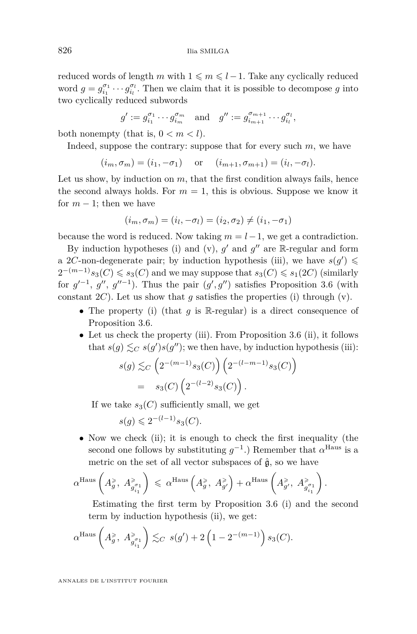reduced words of length  $m$  with  $1 \leqslant m \leqslant l - 1$ . Take any cyclically reduced word  $g = g_{i_1}^{\sigma_1} \cdots g_{i_l}^{\sigma_l}$ . Then we claim that it is possible to decompose *g* into two cyclically reduced subwords

$$
g' := g_{i_1}^{\sigma_1} \cdots g_{i_m}^{\sigma_m} \quad \text{and} \quad g'' := g_{i_{m+1}}^{\sigma_{m+1}} \cdots g_{i_l}^{\sigma_l},
$$

both nonempty (that is,  $0 < m < l$ ).

Indeed, suppose the contrary: suppose that for every such *m*, we have

$$
(i_m, \sigma_m) = (i_1, -\sigma_1)
$$
 or  $(i_{m+1}, \sigma_{m+1}) = (i_l, -\sigma_l)$ .

Let us show, by induction on *m*, that the first condition always fails, hence the second always holds. For  $m = 1$ , this is obvious. Suppose we know it for  $m-1$ ; then we have

$$
(i_m, \sigma_m) = (i_l, -\sigma_l) = (i_2, \sigma_2) \neq (i_1, -\sigma_1)
$$

because the word is reduced. Now taking  $m = l - 1$ , we get a contradiction.

By induction hypotheses (i) and (v),  $g'$  and  $g''$  are R-regular and form a 2*C*-non-degenerate pair; by induction hypothesis (iii), we have  $s(g') \leq$  $2^{-(m-1)}s_3(C) \leqslant s_3(C)$  and we may suppose that  $s_3(C) \leqslant s_1(2C)$  (similarly for  $g'^{-1}$ ,  $g''$ ,  $g''^{-1}$ ). Thus the pair  $(g', g'')$  satisfies Proposition [3.6](#page-25-0) (with constant  $2C$ ). Let us show that *g* satisfies the properties (i) through (v).

- The property (i) (that *<sup>g</sup>* is <sup>R</sup>-regular) is a direct consequence of Proposition [3.6.](#page-25-0)
- Let us check the property (iii). From Proposition [3.6](#page-25-0) (ii), it follows that  $s(g) \lesssim_C s(g')s(g'')$ ; we then have, by induction hypothesis (iii):

$$
s(g) \lesssim_C \left( 2^{-(m-1)} s_3(C) \right) \left( 2^{-(l-m-1)} s_3(C) \right)
$$
  
=  $s_3(C) \left( 2^{-(l-2)} s_3(C) \right)$ .

If we take  $s_3(C)$  sufficiently small, we get

$$
s(g) \leqslant 2^{-(l-1)} s_3(C).
$$

• Now we check (ii); it is enough to check the first inequality (the second one follows by substituting  $g^{-1}$ .) Remember that  $\alpha^{\text{Haus}}$  is a metric on the set of all vector subspaces of  $\hat{g}$ , so we have

$$
\alpha^{\text{Haus}}\left(A_g^{\geqslant},\ A_{g_{i_1}^{\sigma_1}}^{\geqslant}\right)\ \leqslant\ \alpha^{\text{Haus}}\left(A_g^{\geqslant},\ A_{g'}^{\geqslant}\right)+\alpha^{\text{Haus}}\left(A_{g'}^{\geqslant},\ A_{g_{i_1}^{\sigma_1}}^{\geqslant}\right).
$$

Estimating the first term by Proposition [3.6](#page-25-0) (i) and the second term by induction hypothesis (ii), we get:

$$
\alpha^{\text{Haus}}\left(A_g^{\ge}, A_{g_{i_1}}^{\ge} \right) \lesssim_C s(g') + 2\left(1 - 2^{-(m-1)}\right)s_3(C).
$$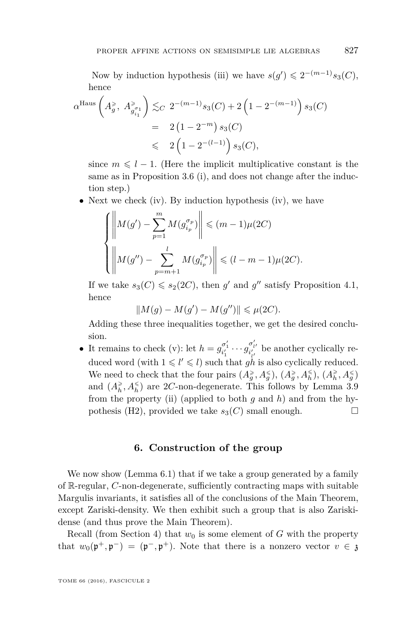Now by induction hypothesis (iii) we have  $s(g') \leq 2^{-(m-1)}s_3(C)$ , hence

$$
\alpha^{\text{Haus}}\left(A_g^{\geqslant}, A_{g_{i_1}^{\sigma_1}}^{\geqslant}\right) \lesssim_C 2^{-(m-1)} s_3(C) + 2\left(1 - 2^{-(m-1)}\right) s_3(C)
$$
  
= 2\left(1 - 2^{-m}\right) s\_3(C)  

$$
\leq 2\left(1 - 2^{-(l-1)}\right) s_3(C),
$$

since  $m \leq l - 1$ . (Here the implicit multiplicative constant is the same as in Proposition [3.6](#page-25-0) (i), and does not change after the induction step.)

• Next we check (iv). By induction hypothesis (iv), we have

$$
\left\{ \left\| M(g') - \sum_{p=1}^{m} M(g_{i_p}^{\sigma_p}) \right\| \leq (m-1)\mu(2C)
$$
  

$$
\left\| M(g'') - \sum_{p=m+1}^{l} M(g_{i_p}^{\sigma_p}) \right\| \leq (l-m-1)\mu(2C).
$$

If we take  $s_3(C) \le s_2(2C)$ , then *g*' and *g*" satisfy Proposition [4.1,](#page-30-0) hence

$$
||M(g) - M(g') - M(g'')|| \le \mu(2C).
$$

Adding these three inequalities together, we get the desired conclusion.

• It remains to check (v): let  $h = g_{i'_1}^{\sigma'_1} \cdots g_{i'_{l'}}^{\sigma'_{l'}}$  be another cyclically reduced word (with  $1 \leq l' \leq l$ ) such that  $gh$  is also cyclically reduced. We need to check that the four pairs  $(A_g^{\geq}, A_g^{\leq}), (A_g^{\geq}, A_h^{\leq}), (A_h^{\geq}, A_g^{\leq})$ and  $(A_h^{\geq}, A_h^{\leq})$  are 2*C*-non-degenerate. This follows by Lemma [3.9](#page-28-0) from the property (ii) (applied to both *g* and *h*) and from the hypothesis (H2), provided we take  $s_3(C)$  small enough.

#### **6. Construction of the group**

<span id="page-43-0"></span>We now show (Lemma [6.1\)](#page-44-0) that if we take a group generated by a family of R-regular, *C*-non-degenerate, sufficiently contracting maps with suitable Margulis invariants, it satisfies all of the conclusions of the Main Theorem, except Zariski-density. We then exhibit such a group that is also Zariskidense (and thus prove the Main Theorem).

Recall (from Section [4\)](#page-30-1) that  $w_0$  is some element of *G* with the property that  $w_0(\mathfrak{p}^+, \mathfrak{p}^-) = (\mathfrak{p}^-, \mathfrak{p}^+)$ . Note that there is a nonzero vector  $v \in \mathfrak{z}$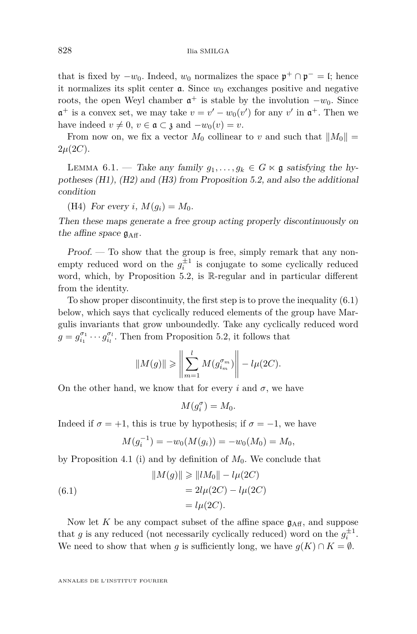that is fixed by  $-w_0$ . Indeed,  $w_0$  normalizes the space  $\mathfrak{p}^+ \cap \mathfrak{p}^- = \mathfrak{l}$ ; hence it normalizes its split center  $a$ . Since  $w_0$  exchanges positive and negative roots, the open Weyl chamber  $\mathfrak{a}^+$  is stable by the involution  $-w_0$ . Since  $\mathfrak{a}^+$  is a convex set, we may take  $v = v' - w_0(v')$  for any  $v'$  in  $\mathfrak{a}^+$ . Then we have indeed  $v \neq 0, v \in \mathfrak{a} \subset \mathfrak{z}$  and  $-w_0(v) = v$ .

From now on, we fix a vector  $M_0$  collinear to *v* and such that  $||M_0|| =$  $2\mu(2C)$ .

<span id="page-44-0"></span>LEMMA 6.1. — Take any family  $g_1, \ldots, g_k \in G \ltimes \mathfrak{g}$  satisfying the hypotheses (H1), (H2) and (H3) from Proposition [5.2,](#page-40-1) and also the additional condition

(H4) For every *i*,  $M(q_i) = M_0$ .

Then these maps generate a free group acting properly discontinuously on the affine space  $g_{\text{Aff}}$ .

 $Proof.$  — To show that the group is free, simply remark that any nonempty reduced word on the  $g_i^{\pm 1}$  is conjugate to some cyclically reduced word, which, by Proposition [5.2,](#page-40-1) is R-regular and in particular different from the identity.

To show proper discontinuity, the first step is to prove the inequality [\(6.1\)](#page-44-1) below, which says that cyclically reduced elements of the group have Margulis invariants that grow unboundedly. Take any cyclically reduced word  $g = g_{i_1}^{\sigma_1} \cdots g_{i_l}^{\sigma_l}$ . Then from Proposition [5.2,](#page-40-1) it follows that

$$
||M(g)|| \ge \left\| \sum_{m=1}^{l} M(g_{i_m}^{\sigma_m}) \right\| - l\mu(2C).
$$

On the other hand, we know that for every *i* and  $\sigma$ , we have

$$
M(g_i^{\sigma}) = M_0.
$$

Indeed if  $\sigma = +1$ , this is true by hypothesis; if  $\sigma = -1$ , we have

<span id="page-44-1"></span>
$$
M(g_i^{-1}) = -w_0(M(g_i)) = -w_0(M_0) = M_0,
$$

by Proposition [4.1](#page-30-0) (i) and by definition of  $M_0$ . We conclude that

(6.1) 
$$
||M(g)|| \ge ||lM_0|| - l\mu(2C)
$$

$$
= 2l\mu(2C) - l\mu(2C)
$$

$$
= l\mu(2C).
$$

Now let  $K$  be any compact subset of the affine space  $\mathfrak{g}_{\text{Aff}}$ , and suppose that *g* is any reduced (not necessarily cyclically reduced) word on the  $g_i^{\pm 1}$ . We need to show that when *g* is sufficiently long, we have  $g(K) \cap K = \emptyset$ .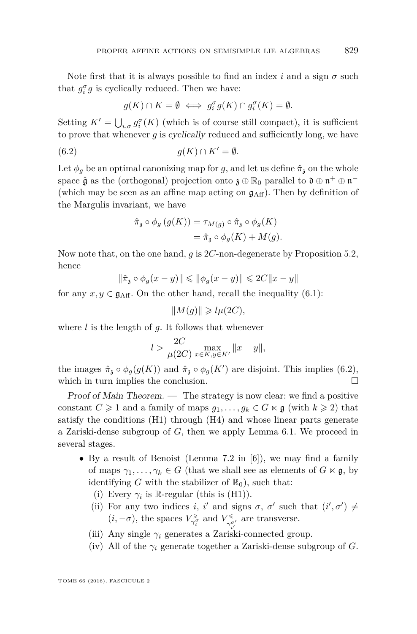Note first that it is always possible to find an index *i* and a sign  $\sigma$  such that  $g_i^{\sigma} g$  is cyclically reduced. Then we have:

<span id="page-45-0"></span>
$$
g(K) \cap K = \emptyset \iff g_i^{\sigma} g(K) \cap g_i^{\sigma}(K) = \emptyset.
$$

Setting  $K' = \bigcup_{i,\sigma} g_i^{\sigma}(K)$  (which is of course still compact), it is sufficient to prove that whenever *g* is cyclically reduced and sufficiently long, we have

(6.2) 
$$
g(K) \cap K' = \emptyset.
$$

Let  $\phi_g$  be an optimal canonizing map for *g*, and let us define  $\hat{\pi}_{\lambda}$  on the whole space  $\hat{\mathfrak g}$  as the (orthogonal) projection onto  $\mathfrak z \oplus \mathbb R_0$  parallel to  $\mathfrak d \oplus \mathfrak n^+ \oplus \mathfrak n^-$ (which may be seen as an affine map acting on  $g_{\text{Aff}}$ ). Then by definition of the Margulis invariant, we have

$$
\hat{\pi}_{\mathfrak{z}} \circ \phi_g \left( g(K) \right) = \tau_{M(g)} \circ \hat{\pi}_{\mathfrak{z}} \circ \phi_g(K)
$$

$$
= \hat{\pi}_{\mathfrak{z}} \circ \phi_g(K) + M(g).
$$

Now note that, on the one hand, *g* is 2*C*-non-degenerate by Proposition [5.2,](#page-40-1) hence

$$
\|\hat{\pi}_\mathfrak{z}\circ\phi_g(x-y)\|\leqslant\|\phi_g(x-y)\|\leqslant 2C\|x-y\|
$$

for any  $x, y \in \mathfrak{g}_{\text{Aff}}$ . On the other hand, recall the inequality [\(6.1\)](#page-44-1):

$$
\|M(g)\|\geqslant l\mu(2C),
$$

where *l* is the length of *g*. It follows that whenever

$$
l > \frac{2C}{\mu(2C)} \max_{x \in K, y \in K'} ||x - y||,
$$

the images  $\hat{\pi}_3 \circ \phi_g(g(K))$  and  $\hat{\pi}_3 \circ \phi_g(K')$  are disjoint. This implies [\(6.2\)](#page-45-0), which in turn implies the conclusion.  $\Box$ 

Proof of Main Theorem.  $\qquad$  The strategy is now clear: we find a positive constant  $C \geq 1$  and a family of maps  $g_1, \ldots, g_k \in G \ltimes \mathfrak{g}$  (with  $k \geq 2$ ) that satisfy the conditions (H1) through (H4) and whose linear parts generate a Zariski-dense subgroup of *G*, then we apply Lemma [6.1.](#page-44-0) We proceed in several stages.

- By a result of Benoist (Lemma 7.2 in [\[6\]](#page-47-17)), we may find a family of maps  $\gamma_1, \ldots, \gamma_k \in G$  (that we shall see as elements of  $G \ltimes \mathfrak{g}$ , by identifying *G* with the stabilizer of  $\mathbb{R}_0$ , such that:
	- (i) Every  $\gamma_i$  is R-regular (this is  $(H1)$ ).
	- (ii) For any two indices *i*, *i'* and signs  $\sigma$ ,  $\sigma'$  such that  $(i', \sigma') \neq$  $(i, -\sigma)$ , the spaces  $V_{\gamma_i^{\sigma}}^{\geq \sigma}$  and  $V_{\gamma_{i'}^{\sigma'}}^{\leq \sigma}$  are transverse.
	- (iii) Any single  $\gamma_i$  generates a Zariski-connected group.
	- (iv) All of the *γ<sup>i</sup>* generate together a Zariski-dense subgroup of *G*.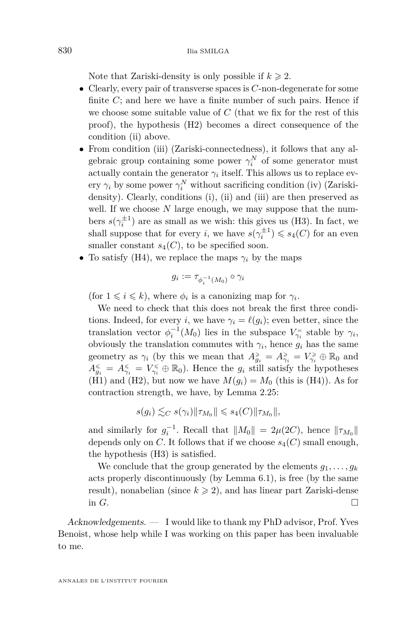Note that Zariski-density is only possible if  $k \geq 2$ .

- Clearly, every pair of transverse spaces is *C*-non-degenerate for some finite  $C$ ; and here we have a finite number of such pairs. Hence if we choose some suitable value of *C* (that we fix for the rest of this proof), the hypothesis (H2) becomes a direct consequence of the condition (ii) above.
- From condition (iii) (Zariski-connectedness), it follows that any algebraic group containing some power  $\gamma_i^N$  of some generator must actually contain the generator  $\gamma_i$  itself. This allows us to replace every  $\gamma_i$  by some power  $\gamma_i^N$  without sacrificing condition (iv) (Zariskidensity). Clearly, conditions (i), (ii) and (iii) are then preserved as well. If we choose N large enough, we may suppose that the numbers  $s(\gamma_i^{\pm 1})$  are as small as we wish: this gives us (H3). In fact, we shall suppose that for every *i*, we have  $s(\gamma_i^{\pm 1}) \leq s_4(C)$  for an even smaller constant  $s_4(C)$ , to be specified soon.
- To satisfy (H4), we replace the maps  $\gamma_i$  by the maps

$$
g_i := \tau_{\phi_i^{-1}(M_0)} \circ \gamma_i
$$

(for  $1 \leq i \leq k$ ), where  $\phi_i$  is a canonizing map for  $\gamma_i$ .

We need to check that this does not break the first three conditions. Indeed, for every *i*, we have  $\gamma_i = \ell(g_i)$ ; even better, since the translation vector  $\phi_i^{-1}(M_0)$  lies in the subspace  $V_{\gamma_i}^=$  stable by  $\gamma_i$ , obviously the translation commutes with  $\gamma_i$ , hence  $g_i$  has the same geometry as  $\gamma_i$  (by this we mean that  $A_{g_i}^{\geq} = A_{\gamma_i}^{\geq} = V_{\gamma_i}^{\geq} \oplus \mathbb{R}_0$  and  $A_{g_i}^{\leq} = A_{\gamma_i}^{\leq} = V_{\gamma_i}^{\leq} \oplus \mathbb{R}_0$ . Hence the  $g_i$  still satisfy the hypotheses (H1) and (H2), but now we have  $M(g_i) = M_0$  (this is (H4)). As for contraction strength, we have, by Lemma [2.25:](#page-19-0)

$$
s(g_i) \lesssim_C s(\gamma_i) \|\tau_{M_0}\| \leqslant s_4(C) \|\tau_{M_0}\|,
$$

and similarly for  $g_i^{-1}$ . Recall that  $||M_0|| = 2\mu(2C)$ , hence  $||\tau_{M_0}||$ depends only on *C*. It follows that if we choose  $s_4(C)$  small enough, the hypothesis (H3) is satisfied.

We conclude that the group generated by the elements  $g_1, \ldots, g_k$ acts properly discontinuously (by Lemma [6.1\)](#page-44-0), is free (by the same result), nonabelian (since  $k \geq 2$ ), and has linear part Zariski-dense in  $G$ .

Acknowledgements. — I would like to thank my PhD advisor, Prof. Yves Benoist, whose help while I was working on this paper has been invaluable to me.